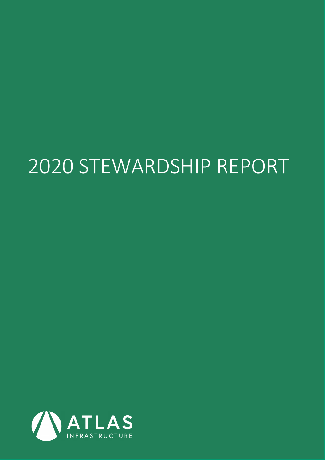# 2020 STEWARDSHIP REPORT

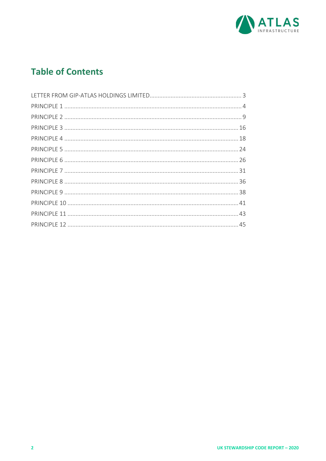

## **Table of Contents**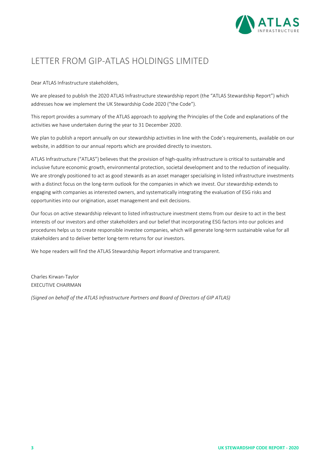

## LETTER FROM GIP‐ATLAS HOLDINGS LIMITED

Dear ATLAS Infrastructure stakeholders,

We are pleased to publish the 2020 ATLAS Infrastructure stewardship report (the "ATLAS Stewardship Report") which addresses how we implement the UK Stewardship Code 2020 ("the Code").

This report provides a summary of the ATLAS approach to applying the Principles of the Code and explanations of the activities we have undertaken during the year to 31 December 2020.

We plan to publish a report annually on our stewardship activities in line with the Code's requirements, available on our website, in addition to our annual reports which are provided directly to investors.

ATLAS Infrastructure ("ATLAS") believes that the provision of high‐quality infrastructure is critical to sustainable and inclusive future economic growth, environmental protection, societal development and to the reduction of inequality. We are strongly positioned to act as good stewards as an asset manager specialising in listed infrastructure investments with a distinct focus on the long-term outlook for the companies in which we invest. Our stewardship extends to engaging with companies as interested owners, and systematically integrating the evaluation of ESG risks and opportunities into our origination, asset management and exit decisions.

Our focus on active stewardship relevant to listed infrastructure investment stems from our desire to act in the best interests of our investors and other stakeholders and our belief that incorporating ESG factors into our policies and procedures helps us to create responsible investee companies, which will generate long-term sustainable value for all stakeholders and to deliver better long‐term returns for our investors.

We hope readers will find the ATLAS Stewardship Report informative and transparent.

Charles Kirwan‐Taylor EXECUTIVE CHAIRMAN

*(Signed on behalf of the ATLAS Infrastructure Partners and Board of Directors of GIP ATLAS)*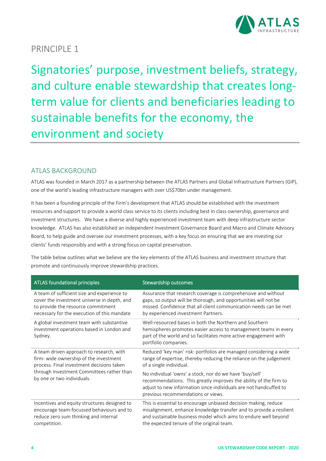

Signatories' purpose, investment beliefs, strategy, and culture enable stewardship that creates long‐ term value for clients and beneficiaries leading to sustainable benefits for the economy, the environment and society

## ATLAS BACKGROUND

ATLAS was founded in March 2017 as a partnership between the ATLAS Partners and Global Infrastructure Partners (GIP), one of the world's leading infrastructure managers with over US\$70bn under management.

It has been a founding principle of the Firm's development that ATLAS should be established with the investment resources and support to provide a world class service to its clients including best in class ownership, governance and investment structures. We have a diverse and highly experienced investment team with deep infrastructure sector knowledge. ATLAS has also established an independent Investment Governance Board and Macro and Climate Advisory Board, to help guide and oversee our investment processes, with a key focus on ensuring that we are investing our clients' funds responsibly and with a strong focus on capital preservation.

The table below outlines what we believe are the key elements of the ATLAS business and investment structure that promote and continuously improve stewardship practices.

| ATLAS foundational principles                                                                     | Stewardship outcomes                                                                                                                                                                                                                    |
|---------------------------------------------------------------------------------------------------|-----------------------------------------------------------------------------------------------------------------------------------------------------------------------------------------------------------------------------------------|
| A team of sufficient size and experience to                                                       | Assurance that research coverage is comprehensive and without                                                                                                                                                                           |
| cover the investment universe in depth, and                                                       | gaps, so output will be thorough, and opportunities will not be                                                                                                                                                                         |
| to provide the resource commitment                                                                | missed. Confidence that all client communication needs can be met                                                                                                                                                                       |
| necessary for the execution of this mandate                                                       | by experienced investment Partners.                                                                                                                                                                                                     |
| A global investment team with substantive<br>investment operations based in London and<br>Sydney. | Well-resourced bases in both the Northern and Southern<br>hemispheres promotes easier access to management teams in every<br>part of the world and so facilitates more active engagement with<br>portfolio companies.                   |
| A team driven approach to research, with                                                          | Reduced 'key man' risk: portfolios are managed considering a wide                                                                                                                                                                       |
| firm-wide ownership of the investment                                                             | range of expertise, thereby reducing the reliance on the judgement                                                                                                                                                                      |
| process. Final investment decisions taken                                                         | of a single individual.                                                                                                                                                                                                                 |
| through Investment Committees rather than<br>by one or two individuals.                           | No individual 'owns' a stock, nor do we have 'buy/sell'<br>recommendations. This greatly improves the ability of the firm to<br>adjust to new information since individuals are not handcuffed to<br>previous recommendations or views. |
| Incentives and equity structures designed to                                                      | This is essential to encourage unbiased decision making, reduce                                                                                                                                                                         |
| encourage team-focussed behaviours and to                                                         | misalignment, enhance knowledge transfer and to provide a resilient                                                                                                                                                                     |
| reduce zero sum thinking and internal                                                             | and sustainable business model which aims to endure well beyond                                                                                                                                                                         |
| competition.                                                                                      | the expected tenure of the original team.                                                                                                                                                                                               |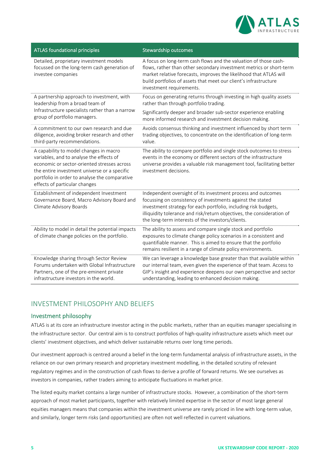

| <b>ATLAS foundational principles</b>                                                                                                                                                                                                                                | Stewardship outcomes                                                                                                                                                                                                                                                                                                         |
|---------------------------------------------------------------------------------------------------------------------------------------------------------------------------------------------------------------------------------------------------------------------|------------------------------------------------------------------------------------------------------------------------------------------------------------------------------------------------------------------------------------------------------------------------------------------------------------------------------|
| Detailed, proprietary investment models<br>focussed on the long-term cash generation of<br>investee companies                                                                                                                                                       | A focus on long-term cash flows and the valuation of those cash-<br>flows, rather than other secondary investment metrics or short-term<br>market relative forecasts, improves the likelihood that ATLAS will<br>build portfolios of assets that meet our client's infrastructure<br>investment requirements.                |
| A partnership approach to investment, with<br>leadership from a broad team of                                                                                                                                                                                       | Focus on generating returns through investing in high quality assets<br>rather than through portfolio trading.                                                                                                                                                                                                               |
| Infrastructure specialists rather than a narrow<br>group of portfolio managers.                                                                                                                                                                                     | Significantly deeper and broader sub-sector experience enabling<br>more informed research and investment decision making.                                                                                                                                                                                                    |
| A commitment to our own research and due<br>diligence, avoiding broker research and other<br>third-party recommendations.                                                                                                                                           | Avoids consensus thinking and investment influenced by short term<br>trading objectives, to concentrate on the identification of long-term<br>value.                                                                                                                                                                         |
| A capability to model changes in macro<br>variables, and to analyse the effects of<br>economic or sector-oriented stresses across<br>the entire investment universe or a specific<br>portfolio in order to analyse the comparative<br>effects of particular changes | The ability to compare portfolio and single stock outcomes to stress<br>events in the economy or different sectors of the infrastructure<br>universe provides a valuable risk management tool, facilitating better<br>investment decisions.                                                                                  |
| Establishment of independent Investment<br>Governance Board, Macro Advisory Board and<br>Climate Advisory Boards                                                                                                                                                    | Independent oversight of its investment process and outcomes<br>focussing on consistency of investments against the stated<br>investment strategy for each portfolio, including risk budgets,<br>illiquidity tolerance and risk/return objectives, the consideration of<br>the long-term interests of the investors/clients. |
| Ability to model in detail the potential impacts<br>of climate change policies on the portfolio.                                                                                                                                                                    | The ability to assess and compare single stock and portfolio<br>exposures to climate change policy scenarios in a consistent and<br>quantifiable manner. This is aimed to ensure that the portfolio<br>remains resilient in a range of climate policy environments.                                                          |
| Knowledge sharing through Sector Review<br>Forums undertaken with Global Infrastructure<br>Partners, one of the pre-eminent private<br>infrastructure investors in the world.                                                                                       | We can leverage a knowledge base greater than that available within<br>our internal team, even given the experience of that team. Access to<br>GIP's insight and experience deepens our own perspective and sector<br>understanding, leading to enhanced decision making.                                                    |

## INVESTMENT PHILOSOPHY AND BELIEFS

#### Investment philosophy

ATLAS is at its core an infrastructure investor acting in the public markets, rather than an equities manager specialising in the infrastructure sector. Our central aim is to construct portfolios of high‐quality infrastructure assets which meet our clients' investment objectives, and which deliver sustainable returns over long time periods.

Our investment approach is centred around a belief in the long‐term fundamental analysis of infrastructure assets, in the reliance on our own primary research and proprietary investment modelling, in the detailed scrutiny of relevant regulatory regimes and in the construction of cash flows to derive a profile of forward returns. We see ourselves as investors in companies, rather traders aiming to anticipate fluctuations in market price.

The listed equity market contains a large number of infrastructure stocks. However, a combination of the short‐term approach of most market participants, together with relatively limited expertise in the sector of most large general equities managers means that companies within the investment universe are rarely priced in line with long-term value, and similarly, longer term risks (and opportunities) are often not well reflected in current valuations.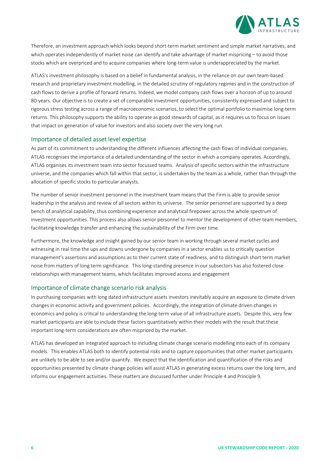

Therefore, an investment approach which looks beyond short-term market sentiment and simple market narratives, and which operates independently of market noise can identify and take advantage of market mispricing – to avoid those stocks which are overpriced and to acquire companies where long‐term value is underappreciated by the market.

ATLAS's investment philosophy is based on a belief in fundamental analysis, in the reliance on our own team‐based research and proprietary investment modelling, in the detailed scrutiny of regulatory regimes and in the construction of cash flows to derive a profile of forward returns. Indeed, we model company cash flows over a horizon of up to around 80‐years. Our objective is to create a set of comparable investment opportunities, consistently expressed and subject to rigorous stress testing across a range of macroeconomic scenarios, to select the optimal portfolio to maximise long‐term returns. This philosophy supports the ability to operate as good stewards of capital, as it requires us to focus on issues that impact on generation of value for investors and also society over the very long run.

#### Importance of detailed asset level expertise

As part of its commitment to understanding the different influences affecting the cash flows of individual companies, ATLAS recognises the importance of a detailed understanding of the sector in which a company operates. Accordingly, ATLAS organises its investment team into sector focussed teams. Analysis of specific sectors within the infrastructure universe, and the companies which fall within that sector, is undertaken by the team as a whole, rather than through the allocation of specific stocks to particular analysts.

The number of senior investment personnel in the investment team means that the Firm is able to provide senior leadership in the analysis and review of all sectors within its universe. The senior personnel are supported by a deep bench of analytical capability, thus combining experience and analytical firepower across the whole spectrum of investment opportunities. This process also allows senior personnel to mentor the development of other team members, facilitating knowledge transfer and enhancing the sustainability of the Firm over time.

Furthermore, the knowledge and insight gained by our senior team in working through several market cycles and witnessing in real time the ups and downs undergone by companies in a sector enables us to critically question management's assertions and assumptions as to their current state of readiness, and to distinguish short term market noise from matters of long term significance. This long-standing presence in our subsectors has also fostered close relationships with management teams, which facilitates improved access and engagement

#### Importance of climate change scenario risk analysis

In purchasing companies with long dated infrastructure assets investors inevitably acquire an exposure to climate driven changes in economic activity and government policies. Accordingly, the integration of climate driven changes in economics and policy is critical to understanding the long-term value of all infrastructure assets. Despite this, very few market participants are able to include these factors quantitatively within their models with the result that these important long-term considerations are often mispriced by the market.

ATLAS has developed an integrated approach to including climate change scenario modelling into each of its company models. This enables ATLAS both to identify potential risks and to capture opportunities that other market participants are unlikely to be able to see and/or quantify. We expect that the identification and quantification of the risks and opportunities presented by climate change policies will assist ATLAS in generating excess returns over the long term, and informs our engagement activities. These matters are discussed further under Principle 4 and Principle 9.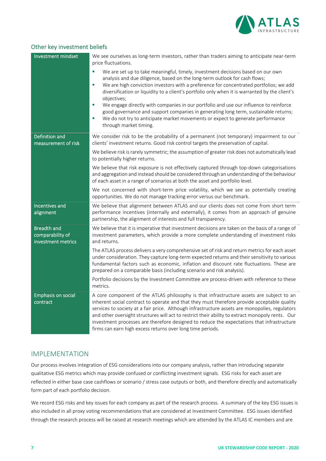

#### Other key investment beliefs

| Investment mindset                                           | We see ourselves as long-term investors, rather than traders aiming to anticipate near-term<br>price fluctuations.<br>a,<br>We are set up to take meaningful, timely, investment decisions based on our own<br>analysis and due diligence, based on the long-term outlook for cash flows;<br>We are high conviction investors with a preference for concentrated portfolios; we add<br>×<br>diversification or liquidity to a client's portfolio only when it is warranted by the client's<br>objectives;<br>We engage directly with companies in our portfolio and use our influence to reinforce<br>$\mathcal{L}_{\mathcal{A}}$<br>good governance and support companies in generating long term, sustainable returns;<br>We do not try to anticipate market movements or expect to generate performance<br>u,<br>through market timing. |
|--------------------------------------------------------------|--------------------------------------------------------------------------------------------------------------------------------------------------------------------------------------------------------------------------------------------------------------------------------------------------------------------------------------------------------------------------------------------------------------------------------------------------------------------------------------------------------------------------------------------------------------------------------------------------------------------------------------------------------------------------------------------------------------------------------------------------------------------------------------------------------------------------------------------|
| Definition and<br>measurement of risk                        | We consider risk to be the probability of a permanent (not temporary) impairment to our<br>clients' investment returns. Good risk control targets the preservation of capital.<br>We believe risk is rarely symmetric; the assumption of greater risk does not automatically lead<br>to potentially higher returns.<br>We believe that risk exposure is not effectively captured through top-down categorisations<br>and aggregation and instead should be considered through an understanding of the behaviour<br>of each asset in a range of scenarios at both the asset and portfolio level.<br>We not concerned with short-term price volatility, which we see as potentially creating<br>opportunities. We do not manage tracking error versus our benchmark.                                                                         |
| Incentives and<br>alignment                                  | We believe that alignment between ATLAS and our clients does not come from short term<br>performance incentives (internally and externally), it comes from an approach of genuine<br>partnership, the alignment of interests and full transparency.                                                                                                                                                                                                                                                                                                                                                                                                                                                                                                                                                                                        |
| <b>Breadth and</b><br>comparability of<br>investment metrics | We believe that it is imperative that investment decisions are taken on the basis of a range of<br>investment parameters, which provide a more complete understanding of investment risks<br>and returns.<br>The ATLAS process delivers a very comprehensive set of risk and return metrics for each asset<br>under consideration. They capture long-term expected returns and their sensitivity to various<br>fundamental factors such as economic, inflation and discount rate fluctuations. These are<br>prepared on a comparable basis (including scenario and risk analysis).<br>Portfolio decisions by the Investment Committee are process-driven with reference to these<br>metrics.                                                                                                                                               |
| <b>Emphasis on social</b><br>contract                        | A core component of the ATLAS philosophy is that infrastructure assets are subject to an<br>inherent social contract to operate and that they must therefore provide acceptable quality<br>services to society at a fair price. Although infrastructure assets are monopolies, regulators<br>and other oversight structures will act to restrict their ability to extract monopoly rents. Our<br>investment processes are therefore designed to reduce the expectations that infrastructure<br>firms can earn high excess returns over long time periods.                                                                                                                                                                                                                                                                                  |

## IMPLEMENTATION

Our process involves integration of ESG considerations into our company analysis, rather than introducing separate qualitative ESG metrics which may provide confused or conflicting investment signals. ESG risks for each asset are reflected in either base case cashflows or scenario / stress case outputs or both, and therefore directly and automatically form part of each portfolio decision.

We record ESG risks and key issues for each company as part of the research process. A summary of the key ESG issues is also included in all proxy voting recommendations that are considered at Investment Committee. ESG issues identified through the research process will be raised at research meetings which are attended by the ATLAS IC members and are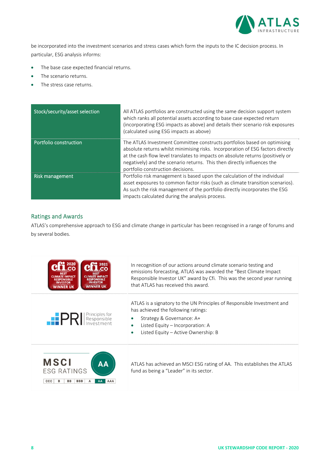

be incorporated into the investment scenarios and stress cases which form the inputs to the IC decision process. In particular, ESG analysis informs:

- The base case expected financial returns.
- The scenario returns.
- The stress case returns.

| Stock/security/asset selection | All ATLAS portfolios are constructed using the same decision support system<br>which ranks all potential assets according to base case expected return<br>(incorporating ESG impacts as above) and details their scenario risk exposures<br>(calculated using ESG impacts as above)                                                                            |
|--------------------------------|----------------------------------------------------------------------------------------------------------------------------------------------------------------------------------------------------------------------------------------------------------------------------------------------------------------------------------------------------------------|
| Portfolio construction         | The ATLAS Investment Committee constructs portfolios based on optimising<br>absolute returns whilst minimising risks. Incorporation of ESG factors directly<br>at the cash flow level translates to impacts on absolute returns (positively or<br>negatively) and the scenario returns. This then directly influences the<br>portfolio construction decisions. |
| Risk management                | Portfolio risk management is based upon the calculation of the individual<br>asset exposures to common factor risks (such as climate transition scenarios).<br>As such the risk management of the portfolio directly incorporates the ESG<br>impacts calculated during the analysis process.                                                                   |

#### Ratings and Awards

ATLAS's comprehensive approach to ESG and climate change in particular has been recognised in a range of forums and by several bodies.

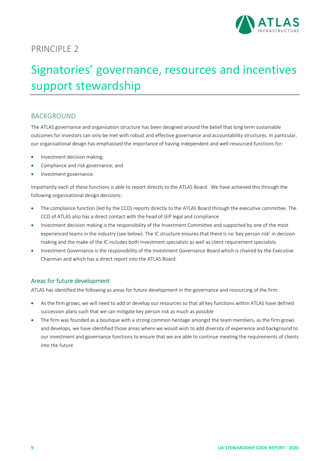

## Signatories' governance, resources and incentives support stewardship

## **BACKGROUND**

The ATLAS governance and organisation structure has been designed around the belief that long term sustainable outcomes for investors can only be met with robust and effective governance and accountability structures. In particular, our organisational design has emphasised the importance of having independent and well-resourced functions for:

- Investment decision making;
- Compliance and risk governance; and
- Investment governance.

Importantly each of these functions is able to report directly to the ATLAS Board. We have achieved this through the following organisational design decisions:

- The compliance function (led by the CCO) reports directly to the ATLAS Board through the executive committee. The CCO of ATLAS also has a direct contact with the head of GIP legal and compliance
- Investment decision making is the responsibility of the Investment Committee and supported by one of the most experienced teams in the industry (see below). The IC structure ensures that there is no 'key person risk' in decision making and the make of the IC includes both investment specialists as well as client requirement specialists
- Investment Governance is the responsibility of the Investment Governance Board which is chaired by the Executive Chairman and which has a direct report into the ATLAS Board.

#### Areas for future development

ATLAS has identified the following as areas for future development in the governance and resourcing of the firm:

- As the firm grows, we will need to add or develop our resources so that all key functions within ATLAS have defined succession plans such that we can mitigate key person risk as much as possible
- The firm was founded as a boutique with a strong common heritage amongst the team members, as the firm grows and develops, we have identified those areas where we would wish to add diversity of experience and background to our investment and governance functions to ensure that we are able to continue meeting the requirements of clients into the future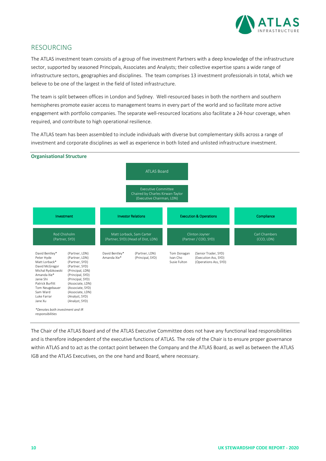

### RESOURCING

The ATLAS investment team consists of a group of five investment Partners with a deep knowledge of the infrastructure sector, supported by seasoned Principals, Associates and Analysts; their collective expertise spans a wide range of infrastructure sectors, geographies and disciplines. The team comprises 13 investment professionals in total, which we believe to be one of the largest in the field of listed infrastructure.

The team is split between offices in London and Sydney. Well-resourced bases in both the northern and southern hemispheres promote easier access to management teams in every part of the world and so facilitate more active engagement with portfolio companies. The separate well-resourced locations also facilitate a 24-hour coverage, when required, and contribute to high operational resilience.

The ATLAS team has been assembled to include individuals with diverse but complementary skills across a range of investment and corporate disciplines as well as experience in both listed and unlisted infrastructure investment.



The Chair of the ATLAS Board and of the ATLAS Executive Committee does not have any functional lead responsibilities and is therefore independent of the executive functions of ATLAS. The role of the Chair is to ensure proper governance within ATLAS and to act as the contact point between the Company and the ATLAS Board, as well as between the ATLAS IGB and the ATLAS Executives, on the one hand and Board, where necessary.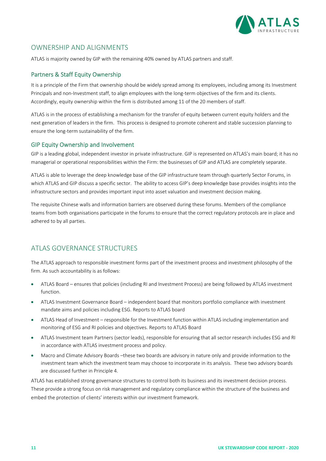

### OWNERSHIP AND ALIGNMENTS

ATLAS is majority owned by GIP with the remaining 40% owned by ATLAS partners and staff.

#### Partners & Staff Equity Ownership

It is a principle of the Firm that ownership should be widely spread among its employees, including among its Investment Principals and non-Investment staff, to align employees with the long-term objectives of the firm and its clients. Accordingly, equity ownership within the firm is distributed among 11 of the 20 members of staff.

ATLAS is in the process of establishing a mechanism for the transfer of equity between current equity holders and the next generation of leaders in the firm. This process is designed to promote coherent and stable succession planning to ensure the long‐term sustainability of the firm.

#### GIP Equity Ownership and Involvement

GIP is a leading global, independent investor in private infrastructure. GIP is represented on ATLAS's main board; it has no managerial or operational responsibilities within the Firm: the businesses of GIP and ATLAS are completely separate.

ATLAS is able to leverage the deep knowledge base of the GIP infrastructure team through quarterly Sector Forums, in which ATLAS and GIP discuss a specific sector. The ability to access GIP's deep knowledge base provides insights into the infrastructure sectors and provides important input into asset valuation and investment decision making.

The requisite Chinese walls and information barriers are observed during these forums. Members of the compliance teams from both organisations participate in the forums to ensure that the correct regulatory protocols are in place and adhered to by all parties.

## ATLAS GOVERNANCE STRUCTURES

The ATLAS approach to responsible investment forms part of the investment process and investment philosophy of the firm. As such accountability is as follows:

- ATLAS Board ensures that policies (including RI and Investment Process) are being followed by ATLAS investment function.
- ATLAS Investment Governance Board independent board that monitors portfolio compliance with investment mandate aims and policies including ESG. Reports to ATLAS board
- ATLAS Head of Investment responsible for the Investment function within ATLAS including implementation and monitoring of ESG and RI policies and objectives. Reports to ATLAS Board
- ATLAS Investment team Partners (sector leads), responsible for ensuring that all sector research includes ESG and RI in accordance with ATLAS investment process and policy.
- Macro and Climate Advisory Boards –these two boards are advisory in nature only and provide information to the investment team which the investment team may choose to incorporate in its analysis. These two advisory boards are discussed further in Principle 4.

ATLAS has established strong governance structures to control both its business and its investment decision process. These provide a strong focus on risk management and regulatory compliance within the structure of the business and embed the protection of clients' interests within our investment framework.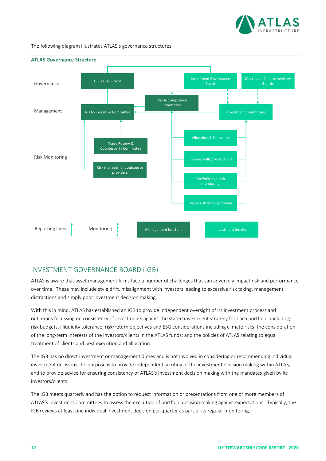

The following diagram illustrates ATLAS's governance structures



## INVESTMENT GOVERNANCE BOARD (IGB)

ATLAS is aware that asset management firms face a number of challenges that can adversely impact risk and performance over time. These may include style drift, misalignment with investors leading to excessive risk taking, management distractions and simply poor investment decision making.

With this in mind, ATLAS has established an IGB to provide independent oversight of its investment process and outcomes focussing on consistency of investments against the stated investment strategy for each portfolio, including risk budgets, illiquidity tolerance, risk/return objectives and ESG considerations including climate risks, the consideration of the long‐term interests of the investors/clients in the ATLAS funds; and the policies of ATLAS relating to equal treatment of clients and best execution and allocation.

The IGB has no direct investment or management duties and is not involved in considering or recommending individual investment decisions. Its purpose is to provide independent scrutiny of the investment decision making within ATLAS, and to provide advice for ensuring consistency of ATLAS's investment decision making with the mandates given by its investors/clients.

The IGB meets quarterly and has the option to request information or presentations from one or more members of ATLAS's Investment Committees to assess the execution of portfolio decision making against expectations. Typically, the IGB reviews at least one individual investment decision per quarter as part of its regular monitoring.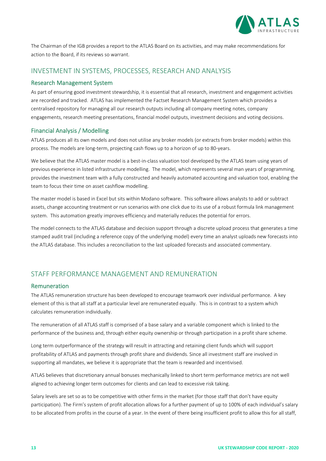

The Chairman of the IGB provides a report to the ATLAS Board on its activities, and may make recommendations for action to the Board, if its reviews so warrant.

### INVESTMENT IN SYSTEMS, PROCESSES, RESEARCH AND ANALYSIS

#### Research Management System

As part of ensuring good investment stewardship, it is essential that all research, investment and engagement activities are recorded and tracked. ATLAS has implemented the Factset Research Management System which provides a centralised repository for managing all our research outputs including all company meeting notes, company engagements, research meeting presentations, financial model outputs, investment decisions and voting decisions.

#### Financial Analysis / Modelling

ATLAS produces all its own models and does not utilise any broker models (or extracts from broker models) within this process. The models are long‐term, projecting cash flows up to a horizon of up to 80‐years.

We believe that the ATLAS master model is a best-in-class valuation tool developed by the ATLAS team using years of previous experience in listed infrastructure modelling. The model, which represents several man years of programming, provides the investment team with a fully constructed and heavily automated accounting and valuation tool, enabling the team to focus their time on asset cashflow modelling.

The master model is based in Excel but sits within Modano software. This software allows analysts to add or subtract assets, change accounting treatment or run scenarios with one click due to its use of a robust formula link management system. This automation greatly improves efficiency and materially reduces the potential for errors.

The model connects to the ATLAS database and decision support through a discrete upload process that generates a time stamped audit trail (including a reference copy of the underlying model) every time an analyst uploads new forecasts into the ATLAS database. This includes a reconciliation to the last uploaded forecasts and associated commentary.

## STAFF PERFORMANCE MANAGEMENT AND REMUNERATION

#### Remuneration

The ATLAS remuneration structure has been developed to encourage teamwork over individual performance. A key element of this is that all staff at a particular level are remunerated equally. This is in contrast to a system which calculates remuneration individually.

The remuneration of all ATLAS staff is comprised of a base salary and a variable component which is linked to the performance of the business and, through either equity ownership or through participation in a profit share scheme.

Long term outperformance of the strategy will result in attracting and retaining client funds which will support profitability of ATLAS and payments through profit share and dividends. Since all investment staff are involved in supporting all mandates, we believe it is appropriate that the team is rewarded and incentivised.

ATLAS believes that discretionary annual bonuses mechanically linked to short term performance metrics are not well aligned to achieving longer term outcomes for clients and can lead to excessive risk taking.

Salary levels are set so as to be competitive with other firms in the market (for those staff that don't have equity participation). The Firm's system of profit allocation allows for a further payment of up to 100% of each individual's salary to be allocated from profits in the course of a year. In the event of there being insufficient profit to allow this for all staff,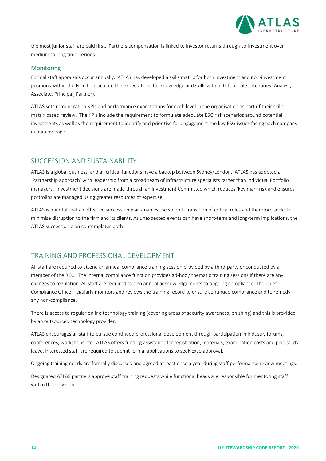

the most junior staff are paid first. Partners compensation is linked to investor returns through co-investment over medium to long time periods.

#### Monitoring

Formal staff appraisals occur annually. ATLAS has developed a skills matrix for both investment and non‐investment positions within the Firm to articulate the expectations for knowledge and skills within its four role categories (Analyst, Associate, Principal, Partner).

ATLAS sets remuneration KPIs and performance expectations for each level in the organisation as part of their skills matrix based review. The KPIs include the requirement to formulate adequate ESG risk scenarios around potential investments as well as the requirement to identify and prioritise for engagement the key ESG issues facing each company in our coverage.

#### SUCCESSION AND SUSTAINABILITY

ATLAS is a global business, and all critical functions have a backup between Sydney/London. ATLAS has adopted a 'Partnership approach' with leadership from a broad team of Infrastructure specialists rather than individual Portfolio managers. Investment decisions are made through an Investment Committee which reduces 'key man' risk and ensures portfolios are managed using greater resources of expertise.

ATLAS is mindful that an effective succession plan enables the smooth transition of critical roles and therefore seeks to minimise disruption to the firm and its clients. As unexpected events can have short-term and long-term implications, the ATLAS succession plan contemplates both.

## TRAINING AND PROFESSIONAL DEVELOPMENT

All staff are required to attend an annual compliance training session provided by a third‐party or conducted by a member of the RCC. The internal compliance function provides ad-hoc / thematic training sessions if there are any changes to regulation. All staff are required to sign annual acknowledgements to ongoing compliance. The Chief Compliance Officer regularly monitors and reviews the training record to ensure continued compliance and to remedy any non‐compliance.

There is access to regular online technology training (covering areas of security awareness, phishing) and this is provided by an outsourced technology provider.

ATLAS encourages all staff to pursue continued professional development through participation in industry forums, conferences, workshops etc. ATLAS offers funding assistance for registration, materials, examination costs and paid study leave. Interested staff are required to submit formal applications to seek Exco approval.

Ongoing training needs are formally discussed and agreed at least once a year during staff performance review meetings.

Designated ATLAS partners approve staff training requests while functional heads are responsible for mentoring staff within their division.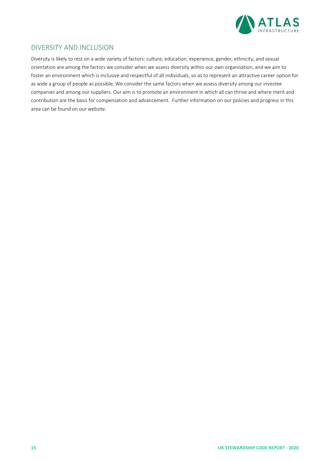

### DIVERSITY AND INCLUSION

Diversity is likely to rest on a wide variety of factors: culture, education, experience, gender, ethnicity, and sexual orientation are among the factors we consider when we assess diversity within our own organisation, and we aim to foster an environment which is inclusive and respectful of all individuals, so as to represent an attractive career option for as wide a group of people as possible. We consider the same factors when we assess diversity among our investee companies and among our suppliers. Our aim is to promote an environment in which all can thrive and where merit and contribution are the basis for compensation and advancement. Further information on our policies and progress in this area can be found on our website.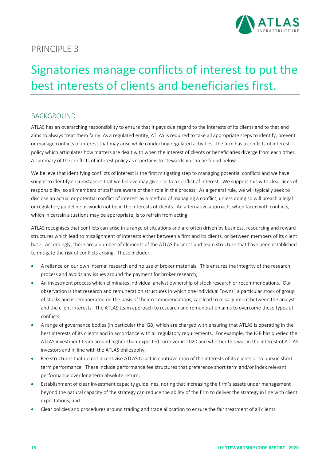

## Signatories manage conflicts of interest to put the best interests of clients and beneficiaries first.

## BACKGROUND

ATLAS has an overarching responsibility to ensure that it pays due regard to the interests of its clients and to that end aims to always treat them fairly. As a regulated entity, ATLAS is required to take all appropriate steps to identify, prevent or manage conflicts of interest that may arise while conducting regulated activities. The firm has a conflicts of interest policy which articulates how matters are dealt with when the interest of clients or beneficiaries diverge from each other. A summary of the conflicts of interest policy as it pertains to stewardship can be found below.

We believe that identifying conflicts of interest is the first mitigating step to managing potential conflicts and we have sought to identify circumstances that we believe may give rise to a conflict of interest. We support this with clear lines of responsibility, so all members of staff are aware of their role in the process. As a general rule, we will typically seek to disclose an actual or potential conflict of interest as a method of managing a conflict, unless doing so will breach a legal or regulatory guideline or would not be in the interests of clients. An alternative approach, when faced with conflicts, which in certain situations may be appropriate, is to refrain from acting.

ATLAS recognises that conflicts can arise in a range of situations and are often driven by business, resourcing and reward structures which lead to misalignment of interests either between a firm and its clients, or between members of its client base. Accordingly, there are a number of elements of the ATLAS business and team structure that have been established to mitigate the risk of conflicts arising. These include:

- A reliance on our own internal research and no use of broker materials. This ensures the integrity of the research process and avoids any issues around the payment for broker research;
- An investment process which eliminates individual analyst ownership of stock research or recommendations. Our observation is that research and remuneration structures in which one individual "owns" a particular stock of group of stocks and is remunerated on the basis of their recommendations, can lead to misalignment between the analyst and the client interests. The ATLAS team approach to research and remuneration aims to overcome these types of conflicts;
- A range of governance bodies (in particular the IGB) which are charged with ensuring that ATLAS is operating in the best interests of its clients and in accordance with all regulatory requirements. For example, the IGB has queried the ATLAS investment team around higher‐than‐expected turnover in 2020 and whether this was in the interest of ATLAS investors and in line with the ATLAS philosophy;
- Fee structures that do not incentivise ATLAS to act in contravention of the interests of its clients or to pursue short term performance. These include performance fee structures that preference short term and/or index relevant performance over long term absolute return;
- Establishment of clear investment capacity guidelines, noting that increasing the firm's assets under management beyond the natural capacity of the strategy can reduce the ability of the firm to deliver the strategy in line with client expectations; and
- Clear policies and procedures around trading and trade allocation to ensure the fair treatment of all clients.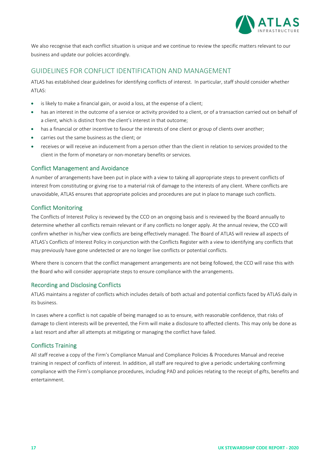

We also recognise that each conflict situation is unique and we continue to review the specific matters relevant to our business and update our policies accordingly.

#### GUIDELINES FOR CONFLICT IDENTIFICATION AND MANAGEMENT

ATLAS has established clear guidelines for identifying conflicts of interest. In particular, staff should consider whether ATLAS:

- is likely to make a financial gain, or avoid a loss, at the expense of a client;
- has an interest in the outcome of a service or activity provided to a client, or of a transaction carried out on behalf of a client, which is distinct from the client's interest in that outcome;
- has a financial or other incentive to favour the interests of one client or group of clients over another;
- carries out the same business as the client; or
- receives or will receive an inducement from a person other than the client in relation to services provided to the client in the form of monetary or non‐monetary benefits or services.

#### Conflict Management and Avoidance

A number of arrangements have been put in place with a view to taking all appropriate steps to prevent conflicts of interest from constituting or giving rise to a material risk of damage to the interests of any client. Where conflicts are unavoidable, ATLAS ensures that appropriate policies and procedures are put in place to manage such conflicts.

#### Conflict Monitoring

The Conflicts of Interest Policy is reviewed by the CCO on an ongoing basis and is reviewed by the Board annually to determine whether all conflicts remain relevant or if any conflicts no longer apply. At the annual review, the CCO will confirm whether in his/her view conflicts are being effectively managed. The Board of ATLAS will review all aspects of ATLAS's Conflicts of Interest Policy in conjunction with the Conflicts Register with a view to identifying any conflicts that may previously have gone undetected or are no longer live conflicts or potential conflicts.

Where there is concern that the conflict management arrangements are not being followed, the CCO will raise this with the Board who will consider appropriate steps to ensure compliance with the arrangements.

#### Recording and Disclosing Conflicts

ATLAS maintains a register of conflicts which includes details of both actual and potential conflicts faced by ATLAS daily in its business.

In cases where a conflict is not capable of being managed so as to ensure, with reasonable confidence, that risks of damage to client interests will be prevented, the Firm will make a disclosure to affected clients. This may only be done as a last resort and after all attempts at mitigating or managing the conflict have failed.

#### Conflicts Training

All staff receive a copy of the Firm's Compliance Manual and Compliance Policies & Procedures Manual and receive training in respect of conflicts of interest. In addition, all staff are required to give a periodic undertaking confirming compliance with the Firm's compliance procedures, including PAD and policies relating to the receipt of gifts, benefits and entertainment.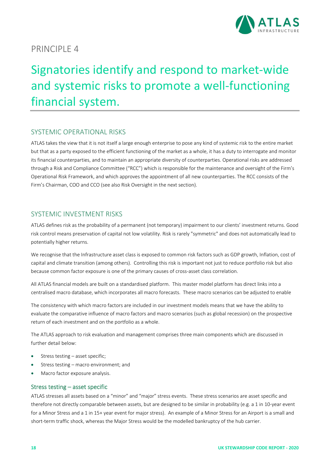

## Signatories identify and respond to market‐wide and systemic risks to promote a well‐functioning financial system.

### SYSTEMIC OPERATIONAL RISKS

ATLAS takes the view that it is not itself a large enough enterprise to pose any kind of systemic risk to the entire market but that as a party exposed to the efficient functioning of the market as a whole, it has a duty to interrogate and monitor its financial counterparties, and to maintain an appropriate diversity of counterparties. Operational risks are addressed through a Risk and Compliance Committee ("RCC") which is responsible for the maintenance and oversight of the Firm's Operational Risk Framework, and which approves the appointment of all new counterparties. The RCC consists of the Firm's Chairman, COO and CCO (see also Risk Oversight in the next section).

#### SYSTEMIC INVESTMENT RISKS

ATLAS defines risk as the probability of a permanent (not temporary) impairment to our clients' investment returns. Good risk control means preservation of capital not low volatility. Risk is rarely "symmetric" and does not automatically lead to potentially higher returns.

We recognise that the Infrastructure asset class is exposed to common risk factors such as GDP growth, Inflation, cost of capital and climate transition (among others). Controlling this risk is important not just to reduce portfolio risk but also because common factor exposure is one of the primary causes of cross‐asset class correlation.

All ATLAS financial models are built on a standardised platform. This master model platform has direct links into a centralised macro database, which incorporates all macro forecasts. These macro scenarios can be adjusted to enable

The consistency with which macro factors are included in our investment models means that we have the ability to evaluate the comparative influence of macro factors and macro scenarios (such as global recession) on the prospective return of each investment and on the portfolio as a whole.

The ATLAS approach to risk evaluation and management comprises three main components which are discussed in further detail below:

- Stress testing asset specific;
- Stress testing macro environment; and
- Macro factor exposure analysis.

#### Stress testing – asset specific

ATLAS stresses all assets based on a "minor" and "major" stress events. These stress scenarios are asset specific and therefore not directly comparable between assets, but are designed to be similar in probability (e.g. a 1 in 10‐year event for a Minor Stress and a 1 in 15+ year event for major stress). An example of a Minor Stress for an Airport is a small and short-term traffic shock, whereas the Major Stress would be the modelled bankruptcy of the hub carrier.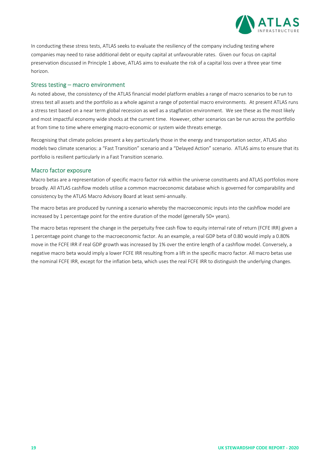

In conducting these stress tests, ATLAS seeks to evaluate the resiliency of the company including testing where companies may need to raise additional debt or equity capital at unfavourable rates. Given our focus on capital preservation discussed in Principle 1 above, ATLAS aims to evaluate the risk of a capital loss over a three year time horizon.

#### Stress testing – macro environment

As noted above, the consistency of the ATLAS financial model platform enables a range of macro scenarios to be run to stress test all assets and the portfolio as a whole against a range of potential macro environments. At present ATLAS runs a stress test based on a near term global recession as well as a stagflation environment. We see these as the most likely and most impactful economy wide shocks at the current time. However, other scenarios can be run across the portfolio at from time to time where emerging macro‐economic or system wide threats emerge.

Recognising that climate policies present a key particularly those in the energy and transportation sector, ATLAS also models two climate scenarios: a "Fast Transition" scenario and a "Delayed Action" scenario. ATLAS aims to ensure that its portfolio is resilient particularly in a Fast Transition scenario.

#### Macro factor exposure

Macro betas are a representation of specific macro factor risk within the universe constituents and ATLAS portfolios more broadly. All ATLAS cashflow models utilise a common macroeconomic database which is governed for comparability and consistency by the ATLAS Macro Advisory Board at least semi‐annually.

The macro betas are produced by running a scenario whereby the macroeconomic inputs into the cashflow model are increased by 1 percentage point for the entire duration of the model (generally 50+ years).

The macro betas represent the change in the perpetuity free cash flow to equity internal rate of return (FCFE IRR) given a 1 percentage point change to the macroeconomic factor. As an example, a real GDP beta of 0.80 would imply a 0.80% move in the FCFE IRR if real GDP growth was increased by 1% over the entire length of a cashflow model. Conversely, a negative macro beta would imply a lower FCFE IRR resulting from a lift in the specific macro factor. All macro betas use the nominal FCFE IRR, except for the inflation beta, which uses the real FCFE IRR to distinguish the underlying changes.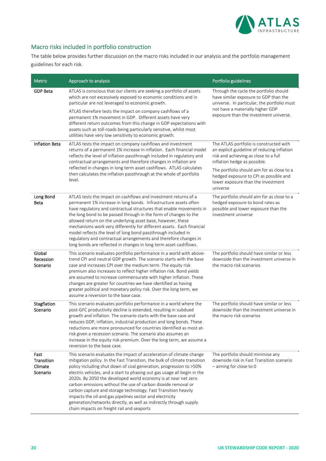

## Macro risks included in portfolio construction

The table below provides further discussion on the macro risks included in our analysis and the portfolio management guidelines for each risk.

| <b>Metric</b>                             | Approach to analysis                                                                                                                                                                                                                                                                                                                                                                                                                                                                                                                                                                                                                                                                     | Portfolio guidelines                                                                                                                                                                                                                                                                                      |
|-------------------------------------------|------------------------------------------------------------------------------------------------------------------------------------------------------------------------------------------------------------------------------------------------------------------------------------------------------------------------------------------------------------------------------------------------------------------------------------------------------------------------------------------------------------------------------------------------------------------------------------------------------------------------------------------------------------------------------------------|-----------------------------------------------------------------------------------------------------------------------------------------------------------------------------------------------------------------------------------------------------------------------------------------------------------|
| <b>GDP Beta</b>                           | ATLAS is conscious that our clients are seeking a portfolio of assets<br>which are not excessively exposed to economic conditions and in<br>particular are not leveraged to economic growth.<br>ATLAS therefore tests the impact on company cashflows of a<br>permanent 1% movement in GDP. Different assets have very<br>different return outcomes from this change in GDP expectations with<br>assets such as toll-roads being particularly sensitive, whilst most<br>utilities have very low sensitivity to economic growth.                                                                                                                                                          | Through the cycle the portfolio should<br>have similar exposure to GDP than the<br>universe. In particular, the portfolio must<br>not have a materially higher GDP<br>exposure than the investment universe.                                                                                              |
| <b>Inflation Beta</b>                     | ATLAS tests the impact on company cashflows and investment<br>returns of a permanent 1% increase in inflation. Each financial model<br>reflects the level of inflation passthrough included in regulatory and<br>contractual arrangements and therefore changes in inflation are<br>reflected in changes in long term asset cashflows. ATLAS calculates<br>then calculates the inflation passthrough at the whole of portfolio<br>level.                                                                                                                                                                                                                                                 | The ATLAS portfolio is constructed with<br>an explicit guideline of reducing inflation<br>risk and achieving as close to a full<br>inflation hedge as possible.<br>The portfolio should aim for as close to a<br>hedged exposure to CPI as possible and<br>lower exposure than the investment<br>universe |
| Long Bond<br><b>Beta</b>                  | ATLAS tests the impact on cashflows and investment returns of a<br>permanent 1% increase in long bonds. Infrastructure assets often<br>have regulatory and contractual structures that enable movements in<br>the long bond to be passed through in the form of changes to the<br>allowed return on the underlying asset base, however, these<br>mechanisms work very differently for different assets. Each financial<br>model reflects the level of long bond passthrough included in<br>regulatory and contractual arrangements and therefore changes in<br>long bonds are reflected in changes in long term asset cashflows.                                                         | The portfolio should aim for as close to a<br>hedged exposure to bond rates as<br>possible and lower exposure than the<br>investment universe                                                                                                                                                             |
| Global<br>Recession<br>Scenario           | This scenario evaluates portfolio performance in a world with above-<br>trend CPI and neutral GDP growth. The scenario starts with the base<br>case and increases CPI over the medium term. The equity risk<br>premium also increases to reflect higher inflation risk. Bond yields<br>are assumed to increase commensurate with higher inflation. These<br>changes are greater for countries we have identified as having<br>greater political and monetary policy risk. Over the long term, we<br>assume a reversion to the base case.                                                                                                                                                 | The portfolio should have similar or less<br>downside than the investment universe in<br>the macro risk scenarios                                                                                                                                                                                         |
| Stagflation<br>Scenario                   | This scenario evaluates portfolio performance in a world where the<br>post-GFC productivity decline is extended, resulting in subdued<br>growth and inflation. The scenario starts with the base case and<br>reduces GDP, inflation, industrial production and long bonds. These<br>reductions are more pronounced for countries identified as most at-<br>risk given a recession scenario. The scenario also assumes an<br>increase in the equity risk premium. Over the long term, we assume a<br>reversion to the base case.                                                                                                                                                          | The portfolio should have similar or less<br>downside than the investment universe in<br>the macro risk scenarios                                                                                                                                                                                         |
| Fast<br>Transition<br>Climate<br>Scenario | This scenario evaluates the impact of acceleration of climate change<br>mitigation policy. In the Fast Transition, the bulk of climate transition<br>policy including shut down of coal generation, progression to >50%<br>electric vehicles, and a start to phasing out gas usage all begin in the<br>2020s. By 2050 the developed world economy is at near net zero<br>carbon emissions without the use of carbon dioxide removal or<br>carbon capture and storage technology. Fast Transition heavily<br>impacts the oil and gas pipelines sector and electricity<br>generation/networks directly, as well as indirectly through supply<br>chain impacts on freight rail and seaports | The portfolio should minimise any<br>downside risk in Fast Transition scenario<br>$-$ aiming for close to 0                                                                                                                                                                                               |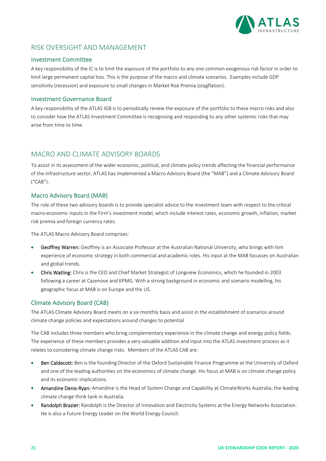

### RISK OVERSIGHT AND MANAGEMENT

#### Investment Committee

A key responsibility of the IC is to limit the exposure of the portfolio to any one common exogenous risk factor in order to limit large permanent capital loss. This is the purpose of the macro and climate scenarios. Examples include GDP sensitivity (recession) and exposure to small changes in Market Risk Premia (stagflation).

#### Investment Governance Board

A key responsibility of the ATLAS IGB is to periodically review the exposure of the portfolio to these macro risks and also to consider how the ATLAS Investment Committee is recognising and responding to any other systemic risks that may arise from time to time.

#### MACRO AND CLIMATE ADVISORY BOARDS

To assist in its assessment of the wider economic, political, and climate policy trends affecting the financial performance of the infrastructure sector, ATLAS has implemented a Macro Advisory Board (the "MAB") and a Climate Advisory Board ("CAB").

#### Macro Advisory Board (MAB)

The role of these two advisory boards is to provide specialist advice to the investment team with respect to the critical macro‐economic inputs in the Firm's investment model, which include interest rates, economic growth, inflation, market risk premia and foreign currency rates.

The ATLAS Macro Advisory Board comprises:

- Geoffrey Warren: Geoffrey is an Associate Professor at the Australian National University, who brings with him experience of economic strategy in both commercial and academic roles. His input at the MAB focusses on Australian and global trends.
- Chris Watling: Chris is the CEO and Chief Market Strategist of Longview Economics, which he founded in 2003 following a career at Cazenove and KPMG. With a strong background in economic and scenario modelling, his geographic focus at MAB is on Europe and the US.

#### Climate Advisory Board (CAB)

The ATLAS Climate Advisory Board meets on a six monthly basis and assist in the establishment of scenarios around climate change policies and expectations around changes to potential

The CAB includes three members who bring complementary experience in the climate change and energy policy fields. The experience of these members provides a very valuable addition and input into the ATLAS investment process as it relates to considering climate change risks. Members of the ATLAS CAB are:

- Ben Caldecott: Ben is the founding Director of the Oxford Sustainable Finance Programme at the University of Oxford and one of the leading authorities on the economics of climate change. His focus at MAB is on climate change policy and its economic implications.
- Amandine Denis-Ryan: Amandine is the Head of System Change and Capability at ClimateWorks Australia; the leading climate change think tank in Australia.
- Randolph Brazier: Randolph is the Director of Innovation and Electricity Systems at the Energy Networks Association. He is also a Future Energy Leader on the World Energy Council.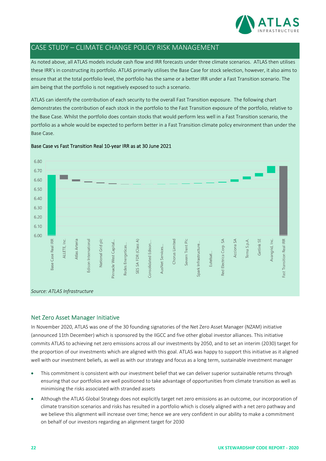

## CASE STUDY – CLIMATE CHANGE POLICY RISK MANAGEMENT

As noted above, all ATLAS models include cash flow and IRR forecasts under three climate scenarios. ATLAS then utilises these IRR's in constructing its portfolio. ATLAS primarily utilises the Base Case for stock selection, however, it also aims to ensure that at the total portfolio level, the portfolio has the same or a better IRR under a Fast Transition scenario. The aim being that the portfolio is not negatively exposed to such a scenario.

ATLAS can identify the contribution of each security to the overall Fast Transition exposure. The following chart demonstrates the contribution of each stock in the portfolio to the Fast Transition exposure of the portfolio, relative to the Base Case. Whilst the portfolio does contain stocks that would perform less well in a Fast Transition scenario, the portfolio as a whole would be expected to perform better in a Fast Transition climate policy environment than under the Base Case.



Base Case vs Fast Transition Real 10‐year IRR as at 30 June 2021

#### Net Zero Asset Manager Initiative

In November 2020, ATLAS was one of the 30 founding signatories of the Net Zero Asset Manager (NZAM) initiative (announced 11th December) which is sponsored by the IIGCC and five other global investor alliances. This initiative commits ATLAS to achieving net zero emissions across all our investments by 2050, and to set an interim (2030) target for the proportion of our investments which are aligned with this goal. ATLAS was happy to support this initiative as it aligned well with our investment beliefs, as well as with our strategy and focus as a long term, sustainable investment manager

- This commitment is consistent with our investment belief that we can deliver superior sustainable returns through ensuring that our portfolios are well positioned to take advantage of opportunities from climate transition as well as minimising the risks associated with stranded assets
- Although the ATLAS Global Strategy does not explicitly target net zero emissions as an outcome, our incorporation of climate transition scenarios and risks has resulted in a portfolio which is closely aligned with a net zero pathway and we believe this alignment will increase over time; hence we are very confident in our ability to make a commitment on behalf of our investors regarding an alignment target for 2030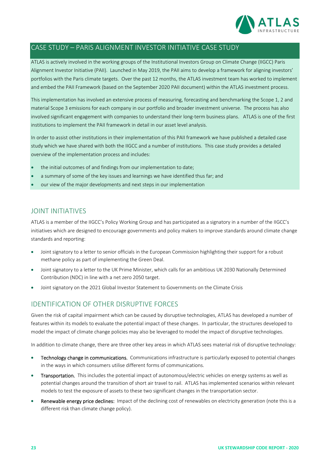

## CASE STUDY – PARIS ALIGNMENT INVESTOR INITIATIVE CASE STUDY

ATLAS is actively involved in the working groups of the Institutional Investors Group on Climate Change (IIGCC) Paris Alignment Investor Initiative (PAII). Launched in May 2019, the PAII aims to develop a framework for aligning investors' portfolios with the Paris climate targets. Over the past 12 months, the ATLAS investment team has worked to implement and embed the PAII Framework (based on the September 2020 PAII document) within the ATLAS investment process.

This implementation has involved an extensive process of measuring, forecasting and benchmarking the Scope 1, 2 and material Scope 3 emissions for each company in our portfolio and broader investment universe. The process has also involved significant engagement with companies to understand their long‐term business plans. ATLAS is one of the first institutions to implement the PAII framework in detail in our asset level analysis.

In order to assist other institutions in their implementation of this PAII framework we have published a detailed case study which we have shared with both the IIGCC and a number of institutions. This case study provides a detailed overview of the implementation process and includes:

- the initial outcomes of and findings from our implementation to date;
- a summary of some of the key issues and learnings we have identified thus far; and
- our view of the major developments and next steps in our implementation

### JOINT INITIATIVES

ATLAS is a member of the IIGCC's Policy Working Group and has participated as a signatory in a number of the IIGCC's initiatives which are designed to encourage governments and policy makers to improve standards around climate change standards and reporting:

- Joint signatory to a letter to senior officials in the European Commission highlighting their support for a robust methane policy as part of implementing the Green Deal.
- Joint signatory to a letter to the UK Prime Minister, which calls for an ambitious UK 2030 Nationally Determined Contribution (NDC) in line with a net zero 2050 target.
- Joint signatory on the 2021 Global Investor Statement to Governments on the Climate Crisis

## IDENTIFICATION OF OTHER DISRUPTIVE FORCES

Given the risk of capital impairment which can be caused by disruptive technologies, ATLAS has developed a number of features within its models to evaluate the potential impact of these changes. In particular, the structures developed to model the impact of climate change policies may also be leveraged to model the impact of disruptive technologies.

In addition to climate change, there are three other key areas in which ATLAS sees material risk of disruptive technology:

- Technology change in communications. Communications infrastructure is particularly exposed to potential changes in the ways in which consumers utilise different forms of communications.
- Transportation. This includes the potential impact of autonomous/electric vehicles on energy systems as well as potential changes around the transition of short air travel to rail. ATLAS has implemented scenarios within relevant models to test the exposure of assets to these two significant changes in the transportation sector.
- Renewable energy price declines: Impact of the declining cost of renewables on electricity generation (note this is a different risk than climate change policy).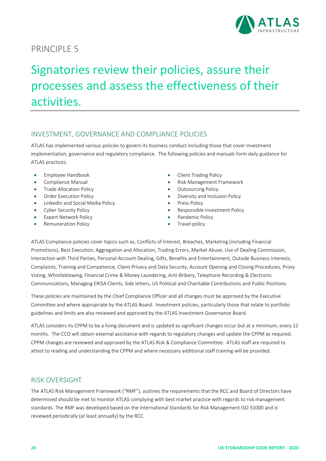

## Signatories review their policies, assure their processes and assess the effectiveness of their activities.

## INVESTMENT, GOVERNANCE AND COMPLIANCE POLICIES

ATLAS has implemented various policies to govern its business conduct including those that cover investment implementation, governance and regulatory compliance. The following policies and manuals form daily guidance for ATLAS practices:

- Employee Handbook
- Compliance Manual
- Trade Allocation Policy
- Order Execution Policy
- LinkedIn and Social Media Policy
- Cyber Security Policy
- **•** Expert Network Policy
- Remuneration Policy
- Client Trading Policy
- Risk Management Framework
- Outsourcing Policy
- Diversity and Inclusion Policy
- Press Policy
- Responsible Investment Policy
- Pandemic Policy
- Travel policy

ATLAS Compliance policies cover topics such as, Conflicts of Interest, Breaches, Marketing (including Financial Promotions), Best Execution, Aggregation and Allocation, Trading Errors, Market Abuse, Use of Dealing Commission, Interaction with Third Parties, Personal Account Dealing, Gifts, Benefits and Entertainment, Outside Business Interests, Complaints, Training and Competence, Client Privacy and Data Security, Account Opening and Closing Procedures, Proxy Voting, Whistleblowing, Financial Crime & Money Laundering, Anti‐Bribery, Telephone Recording & Electronic Communications, Managing ERISA Clients, Side letters, US Political and Charitable Contributions and Public Positions.

These policies are maintained by the Chief Compliance Officer and all changes must be approved by the Executive Committee and where appropriate by the ATLAS Board. Investment policies, particularly those that relate to portfolio guidelines and limits are also reviewed and approved by the ATLAS Investment Governance Board.

ATLAS considers its CPPM to be a living document and is updated as significant changes occur but at a minimum, every 12 months. The CCO will obtain external assistance with regards to regulatory changes and update the CPPM as required. CPPM changes are reviewed and approved by the ATLAS Risk & Compliance Committee. ATLAS staff are required to attest to reading and understanding the CPPM and where necessary additional staff training will be provided.

## RISK OVERSIGHT

The ATLAS Risk Management Framework ("RMF"), outlines the requirements that the RCC and Board of Directors have determined should be met to monitor ATLAS complying with best market practice with regards to risk management standards. The RMF was developed based on the International Standards for Risk Management ISO 31000 and is reviewed periodically (at least annually) by the RCC.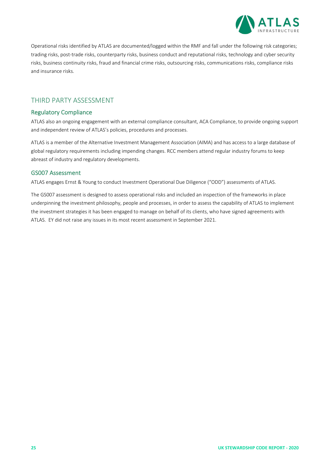

Operational risks identified by ATLAS are documented/logged within the RMF and fall under the following risk categories; trading risks, post-trade risks, counterparty risks, business conduct and reputational risks, technology and cyber security risks, business continuity risks, fraud and financial crime risks, outsourcing risks, communications risks, compliance risks and insurance risks.

### THIRD PARTY ASSESSMENT

#### Regulatory Compliance

ATLAS also an ongoing engagement with an external compliance consultant, ACA Compliance, to provide ongoing support and independent review of ATLAS's policies, procedures and processes.

ATLAS is a member of the Alternative Investment Management Association (AIMA) and has access to a large database of global regulatory requirements including impending changes. RCC members attend regular industry forums to keep abreast of industry and regulatory developments.

#### GS007 Assessment

ATLAS engages Ernst & Young to conduct Investment Operational Due Diligence ("ODD") assessments of ATLAS.

The GS007 assessment is designed to assess operational risks and included an inspection of the frameworks in place underpinning the investment philosophy, people and processes, in order to assess the capability of ATLAS to implement the investment strategies it has been engaged to manage on behalf of its clients, who have signed agreements with ATLAS. EY did not raise any issues in its most recent assessment in September 2021.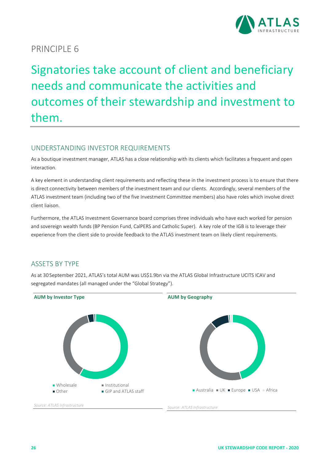

Signatories take account of client and beneficiary needs and communicate the activities and outcomes of their stewardship and investment to them.

## UNDERSTANDING INVESTOR REQUIREMENTS

As a boutique investment manager, ATLAS has a close relationship with its clients which facilitates a frequent and open interaction.

A key element in understanding client requirements and reflecting these in the investment process is to ensure that there is direct connectivity between members of the investment team and our clients. Accordingly, several members of the ATLAS investment team (including two of the five Investment Committee members) also have roles which involve direct client liaison.

Furthermore, the ATLAS Investment Governance board comprises three individuals who have each worked for pension and sovereign wealth funds (BP Pension Fund, CalPERS and Catholic Super). A key role of the IGB is to leverage their experience from the client side to provide feedback to the ATLAS investment team on likely client requirements.

## ASSETS BY TYPE

As at 30 September 2021, ATLAS's total AUM was US\$1.9bn via the ATLAS Global Infrastructure UCITS ICAV and segregated mandates (all managed under the "Global Strategy").

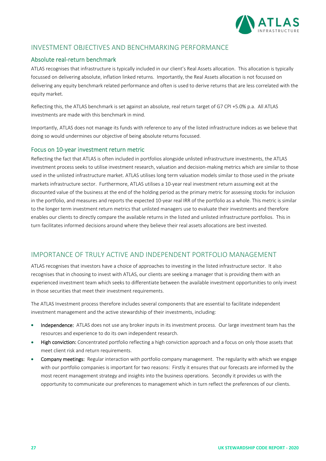

## INVESTMENT OBJECTIVES AND BENCHMARKING PERFORMANCE

#### Absolute real‐return benchmark

ATLAS recognises that infrastructure is typically included in our client's Real Assets allocation. This allocation is typically focussed on delivering absolute, inflation linked returns. Importantly, the Real Assets allocation is not focussed on delivering any equity benchmark related performance and often is used to derive returns that are less correlated with the equity market.

Reflecting this, the ATLAS benchmark is set against an absolute, real return target of G7 CPI +5.0% p.a. All ATLAS investments are made with this benchmark in mind.

Importantly, ATLAS does not manage its funds with reference to any of the listed infrastructure indices as we believe that doing so would undermines our objective of being absolute returns focussed.

#### Focus on 10‐year investment return metric

Reflecting the fact that ATLAS is often included in portfolios alongside unlisted infrastructure investments, the ATLAS investment process seeks to utilise investment research, valuation and decision‐making metrics which are similar to those used in the unlisted infrastructure market. ATLAS utilises long term valuation models similar to those used in the private markets infrastructure sector. Furthermore, ATLAS utilises a 10‐year real investment return assuming exit at the discounted value of the business at the end of the holding period as the primary metric for assessing stocks for inclusion in the portfolio, and measures and reports the expected 10-year real IRR of the portfolio as a whole. This metric is similar to the longer term investment return metrics that unlisted managers use to evaluate their investments and therefore enables our clients to directly compare the available returns in the listed and unlisted infrastructure portfolios. This in turn facilitates informed decisions around where they believe their real assets allocations are best invested.

#### IMPORTANCE OF TRULY ACTIVE AND INDEPENDENT PORTFOLIO MANAGEMENT

ATLAS recognises that investors have a choice of approaches to investing in the listed infrastructure sector. It also recognises that in choosing to invest with ATLAS, our clients are seeking a manager that is providing them with an experienced investment team which seeks to differentiate between the available investment opportunities to only invest in those securities that meet their investment requirements.

The ATLAS Investment process therefore includes several components that are essential to facilitate independent investment management and the active stewardship of their investments, including:

- Independence: ATLAS does not use any broker inputs in its investment process. Our large investment team has the resources and experience to do its own independent research.
- High conviction: Concentrated portfolio reflecting a high conviction approach and a focus on only those assets that meet client risk and return requirements.
- Company meetings: Regular interaction with portfolio company management. The regularity with which we engage with our portfolio companies is important for two reasons: Firstly it ensures that our forecasts are informed by the most recent management strategy and insights into the business operations. Secondly it provides us with the opportunity to communicate our preferences to management which in turn reflect the preferences of our clients.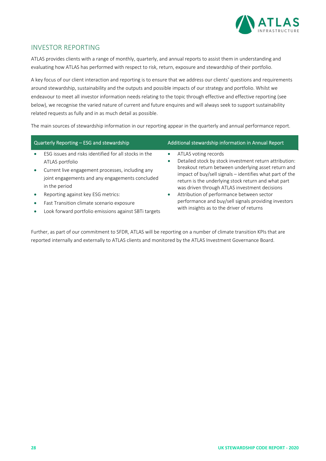

### INVESTOR REPORTING

ATLAS provides clients with a range of monthly, quarterly, and annual reports to assist them in understanding and evaluating how ATLAS has performed with respect to risk, return, exposure and stewardship of their portfolio.

A key focus of our client interaction and reporting is to ensure that we address our clients' questions and requirements around stewardship, sustainability and the outputs and possible impacts of our strategy and portfolio. Whilst we endeavour to meet all investor information needs relating to the topic through effective and effective reporting (see below), we recognise the varied nature of current and future enquires and will always seek to support sustainability related requests as fully and in as much detail as possible.

The main sources of stewardship information in our reporting appear in the quarterly and annual performance report.

| Quarterly Reporting - ESG and stewardship                                                                                                                                                                                              |                        | Additional stewardship information in Annual Report                                                                                                                                                                                                                                                                                                    |
|----------------------------------------------------------------------------------------------------------------------------------------------------------------------------------------------------------------------------------------|------------------------|--------------------------------------------------------------------------------------------------------------------------------------------------------------------------------------------------------------------------------------------------------------------------------------------------------------------------------------------------------|
| ESG issues and risks identified for all stocks in the<br>ATLAS portfolio<br>Current live engagement processes, including any<br>joint engagements and any engagements concluded<br>in the period<br>Reporting against key ESG metrics: | $\bullet$<br>$\bullet$ | ATLAS voting records<br>Detailed stock by stock investment return attribution:<br>breakout return between underlying asset return and<br>impact of buy/sell signals - identifies what part of the<br>return is the underlying stock return and what part<br>was driven through ATLAS investment decisions<br>Attribution of performance between sector |
| Fast Transition climate scenario exposure<br>Look forward portfolio emissions against SBTi targets                                                                                                                                     |                        | performance and buy/sell signals providing investors<br>with insights as to the driver of returns                                                                                                                                                                                                                                                      |

Further, as part of our commitment to SFDR, ATLAS will be reporting on a number of climate transition KPIs that are reported internally and externally to ATLAS clients and monitored by the ATLAS Investment Governance Board.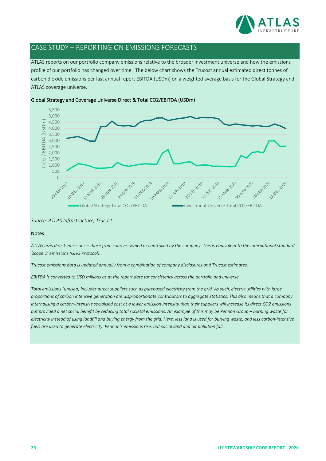

## CASE STUDY – REPORTING ON EMISSIONS FORECASTS

ATLAS reports on our portfolio company emissions relative to the broader investment universe and how the emissions profile of our portfolio has changed over time. The below chart shows the Trucost annual estimated direct tonnes of carbon dioxide emissions per last annual report EBITDA (USDm) on a weighted average basis for the Global Strategy and ATLAS coverage universe.



#### Global Strategy and Coverage Universe Direct & Total CO2/EBITDA (USDm)

*Source: ATLAS Infrastructure, Trucost*

#### Notes:

ATLAS uses direct emissions - those from sources owned or controlled by the company. This is equivalent to the international standard *'scope 1' emissions (GHG Protocol).*

*Trucost emissions data is updated annually from a combination of company disclosures and Trucost estimates.*

EBITDA is converted to USD millions as at the report date for consistency across the portfolio and universe.

Total emissions (unused) includes direct suppliers such as purchased electricity from the grid. As such, electric utilities with large proportions of carbon intensive generation are disproportionate contributors to aggregate statistics. This also means that a company internalising a carbon-intensive socialised cost at a lower emission intensity than their suppliers will increase its direct CO2 emissions but provided a net social benefit by reducing total societal emissions. An example of this may be Pennon Group - burning waste for electricity instead of using landfill and buying energy from the grid. Here, less land is used for burying waste, and less carbon-intensive *fuels are used to generate electricity. Pennon's emissions rise, but social land and air pollution fall.*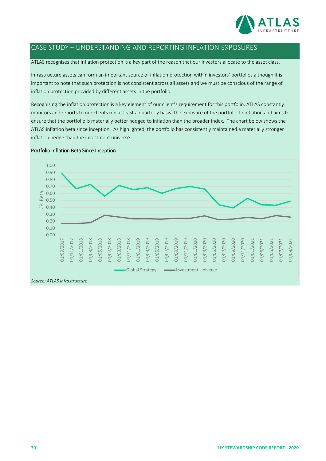

## CASE STUDY – UNDERSTANDING AND REPORTING INFLATION EXPOSURES

ATLAS recognises that inflation protection is a key part of the reason that our investors allocate to the asset class.

Infrastructure assets can form an important source of inflation protection within investors' portfolios although it is important to note that such protection is not consistent across all assets and we must be conscious of the range of inflation protection provided by different assets in the portfolio.

Recognising the inflation protection is a key element of our client's requirement for this portfolio, ATLAS constantly monitors and reports to our clients (on at least a quarterly basis) the exposure of the portfolio to inflation and aims to ensure that the portfolio is materially better hedged to inflation than the broader index. The chart below shows the ATLAS inflation beta since inception. As highlighted, the portfolio has consistently maintained a materially stronger inflation hedge than the investment universe.

#### Portfolio Inflation Beta Since Inception

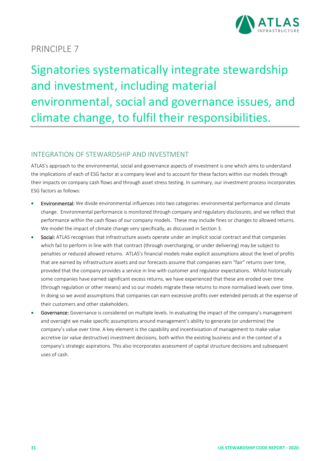

## Signatories systematically integrate stewardship and investment, including material environmental, social and governance issues, and climate change, to fulfil their responsibilities.

## INTEGRATION OF STEWARDSHIP AND INVESTMENT

ATLAS's approach to the environmental, social and governance aspects of investment is one which aims to understand the implications of each of ESG factor at a company level and to account for these factors within our models through their impacts on company cash flows and through asset stress testing. In summary, our investment process incorporates ESG factors as follows:

- Environmental: We divide environmental influences into two categories: environmental performance and climate change. Environmental performance is monitored through company and regulatory disclosures, and we reflect that performance within the cash flows of our company models. These may include fines or changes to allowed returns. We model the impact of climate change very specifically, as discussed in Section 3.
- Social: ATLAS recognises that infrastructure assets operate under an implicit social contract and that companies which fail to perform in line with that contract (through overcharging, or under delivering) may be subject to penalties or reduced allowed returns. ATLAS's financial models make explicit assumptions about the level of profits that are earned by infrastructure assets and our forecasts assume that companies earn "fair" returns over time, provided that the company provides a service in line with customer and regulator expectations. Whilst historically some companies have earned significant excess returns, we have experienced that these are eroded over time (through regulation or other means) and so our models migrate these returns to more normalised levels over time. In doing so we avoid assumptions that companies can earn excessive profits over extended periods at the expense of their customers and other stakeholders.
- Governance: Governance is considered on multiple levels. In evaluating the impact of the company's management and oversight we make specific assumptions around management's ability to generate (or undermine) the company's value over time. A key element is the capability and incentivisation of management to make value accretive (or value destructive) investment decisions, both within the existing business and in the context of a company's strategic aspirations. This also incorporates assessment of capital structure decisions and subsequent uses of cash.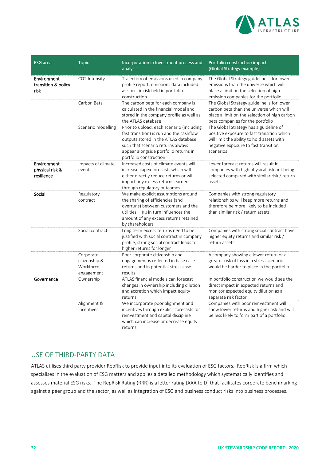

| <b>ESG</b> area                              | <b>Topic</b>                                          | Incorporation in Investment process and<br>analysis                                                                                                                                                                                   | Portfolio construction impact<br>(Global Strategy example)                                                                                                                              |
|----------------------------------------------|-------------------------------------------------------|---------------------------------------------------------------------------------------------------------------------------------------------------------------------------------------------------------------------------------------|-----------------------------------------------------------------------------------------------------------------------------------------------------------------------------------------|
| Environment<br>transition & policy<br>risk   | CO2 Intensity                                         | Trajectory of emissions used in company<br>profile report, emissions data included<br>as specific risk field in portfolio<br>construction                                                                                             | The Global Strategy guideline is for lower<br>emissions than the universe which will<br>place a limit on the selection of high<br>emission companies for the portfolio                  |
|                                              | Carbon Beta                                           | The carbon beta for each company is<br>calculated in the financial model and<br>stored in the company profile as well as<br>the ATLAS database                                                                                        | The Global Strategy guideline is for lower<br>carbon beta than the universe which will<br>place a limit on the selection of high carbon<br>beta companies for the portfolio             |
|                                              | Scenario modelling                                    | Prior to upload, each scenario (including<br>fast transition) is run and the cashflow<br>outputs stored in the ATLAS database<br>such that scenario returns always<br>appear alongside portfolio returns in<br>portfolio construction | The Global Strategy has a guideline of<br>positive exposure to fast transition which<br>will limit the ability to hold assets with<br>negative exposure to fast transition<br>scenarios |
| Environment<br>physical risk &<br>resilience | Impacts of climate<br>events                          | Increased costs of climate events will<br>increase capex forecasts which will<br>either directly reduce returns or will<br>impact any excess returns earned<br>through regulatory outcomes                                            | Lower forecast returns will result in<br>companies with high physical risk not being<br>selected compared with similar risk / return<br>assets                                          |
| Social                                       | Regulatory<br>contract                                | We make explicit assumptions around<br>the sharing of efficiencies (and<br>overruns) between customers and the<br>utilities. This in turn influences the<br>amount of any excess returns retained<br>by shareholders                  | Companies with strong regulatory<br>relationships will keep more returns and<br>therefore be more likely to be included<br>than similar risk / return assets.                           |
|                                              | Social contract                                       | Long term excess returns need to be<br>justified with social contract in company<br>profile, strong social contract leads to<br>higher returns for longer                                                                             | Companies with strong social contract have<br>higher equity returns and similar risk /<br>return assets.                                                                                |
|                                              | Corporate<br>citizenship &<br>Workforce<br>engagement | Poor corporate citizenship and<br>engagement is reflected in base case<br>returns and in potential stress case<br>results                                                                                                             | A company showing a lower return or a<br>greater risk of loss in a stress scenario<br>would be harder to place in the portfolio                                                         |
| Governance                                   | Ownership                                             | ATLAS financial models can forecast<br>changes in ownership including dilution<br>and accretion which impact equity<br>returns                                                                                                        | In portfolio construction we would see the<br>direct impact in expected returns and<br>monitor expected equity dilution as a<br>separate risk factor                                    |
|                                              | Alignment &<br>Incentives                             | We incorporate poor alignment and<br>incentives through explicit forecasts for<br>reinvestment and capital discipline<br>which can increase or decrease equity<br>returns                                                             | Companies with poor reinvestment will<br>show lower returns and higher risk and will<br>be less likely to form part of a portfolio                                                      |

## USE OF THIRD‐PARTY DATA

ATLAS utilises third party provider RepRisk to provide input into its evaluation of ESG factors. RepRisk is a firm which specialises in the evaluation of ESG matters and applies a detailed methodology which systematically identifies and assesses material ESG risks. The RepRisk Rating (RRR) is a letter rating (AAA to D) that facilitates corporate benchmarking against a peer group and the sector, as well as integration of ESG and business conduct risks into business processes.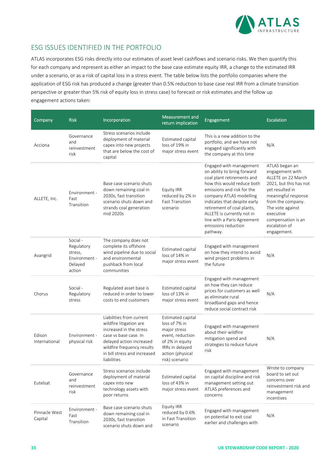

## ESG ISSUES IDENTIFIED IN THE PORTFOLIO

ATLAS incorporates ESG risks directly into our estimates of asset level cashflows and scenario risks. We then quantify this for each company and represent as either an impact to the base case estimate equity IRR, a change to the estimated IRR under a scenario, or as a risk of capital loss in a stress event. The table below lists the portfolio companies where the application of ESG risk has produced a change (greater than 0.5% reduction to base case real IRR from a climate transition perspective or greater than 5% risk of equity loss in stress case) to forecast or risk estimates and the follow up engagement actions taken:

| Company                  | <b>Risk</b>                                                             | Incorporation                                                                                                                                                                                                    | Measurement and<br>return implication                                                                                                              | Engagement                                                                                                                                                                                                                                                                                                                                | <b>Escalation</b>                                                                                                                                                                                                                       |
|--------------------------|-------------------------------------------------------------------------|------------------------------------------------------------------------------------------------------------------------------------------------------------------------------------------------------------------|----------------------------------------------------------------------------------------------------------------------------------------------------|-------------------------------------------------------------------------------------------------------------------------------------------------------------------------------------------------------------------------------------------------------------------------------------------------------------------------------------------|-----------------------------------------------------------------------------------------------------------------------------------------------------------------------------------------------------------------------------------------|
| Acciona                  | Governance<br>and<br>reinvestment<br>risk                               | Stress scenarios include<br>deployment of material<br>capex into new projects<br>that are below the cost of<br>capital                                                                                           | Estimated capital<br>loss of 19% in<br>major stress event                                                                                          | This is a new addition to the<br>portfolio, and we have not<br>engaged significantly with<br>the company at this time                                                                                                                                                                                                                     | N/A                                                                                                                                                                                                                                     |
| ALLETE, Inc.             | Environment -<br>Fast<br>Transition                                     | Base case scenario shuts<br>down remaining coal in<br>2030s, fast transition<br>scenario shuts down and<br>strands coal generation<br>mid 2020s                                                                  | Equity IRR<br>reduced by 2% in<br><b>Fast Transition</b><br>scenario                                                                               | Engaged with management<br>on ability to bring forward<br>coal plant retirements and<br>how this would reduce both<br>emissions and risk for the<br>company ATLAS modelling<br>indicates that despite early<br>retirement of coal plants,<br>ALLETE is currently not in<br>line with a Paris Agreement<br>emissions reduction<br>pathway. | ATLAS began an<br>engagement with<br>ALLETE on 22 March<br>2021, but this has not<br>yet resulted in<br>meaningful response<br>from the company.<br>The vote against<br>executive<br>compensation is an<br>escalation of<br>engagement. |
| Avangrid                 | Social -<br>Regulatory<br>stress,<br>Environment -<br>Delayed<br>action | The company does not<br>complete its offshore<br>wind pipeline due to social<br>and environmental<br>pushback from local<br>communities                                                                          | Estimated capital<br>loss of 14% in<br>major stress event                                                                                          | Engaged with management<br>on how they intend to avoid<br>wind project problems in<br>the future                                                                                                                                                                                                                                          | N/A                                                                                                                                                                                                                                     |
| Chorus                   | Social -<br>Regulatory<br>stress                                        | Regulated asset base is<br>reduced in order to lower<br>costs to end customers                                                                                                                                   | Estimated capital<br>loss of 13% in<br>major stress event                                                                                          | Engaged with management<br>on how they can reduce<br>prices for customers as well<br>as eliminate rural<br>broadband gaps and hence<br>reduce social contract risk                                                                                                                                                                        | N/A                                                                                                                                                                                                                                     |
| Edison<br>International  | Environment -<br>physical risk                                          | Liabilities from current<br>wildfire litigation are<br>increased in the stress<br>case vs base case. In<br>delayed action increased<br>wildfire frequency results<br>in bill stress and increased<br>liabilities | Estimated capital<br>loss of 7% in<br>major stress<br>event, reduction<br>of 2% in equity<br>IRRs in delayed<br>action (physical<br>risk) scenario | Engaged with management<br>about their wildfire<br>mitigation spend and<br>strategies to reduce future<br>risk                                                                                                                                                                                                                            | N/A                                                                                                                                                                                                                                     |
| Eutelsat                 | Governance<br>and<br>reinvestment<br>risk                               | Stress scenarios include<br>deployment of material<br>capex into new<br>technology assets with<br>poor returns                                                                                                   | Estimated capital<br>loss of 43% in<br>major stress event                                                                                          | Engaged with management<br>on capital discipline and risk<br>management setting out<br>ATLAS preferences and<br>concerns                                                                                                                                                                                                                  | Wrote to company<br>board to set out<br>concerns over<br>reinvestment risk and<br>management<br>incentives                                                                                                                              |
| Pinnacle West<br>Capital | Environment -<br>Fast<br>Transition                                     | Base case scenario shuts<br>down remaining coal in<br>2030s, fast transition<br>scenario shuts down and                                                                                                          | Equity IRR<br>reduced by 0.6%<br>in Fast Transition<br>scenario                                                                                    | Engaged with management<br>on potential to exit coal<br>earlier and challenges with                                                                                                                                                                                                                                                       | N/A                                                                                                                                                                                                                                     |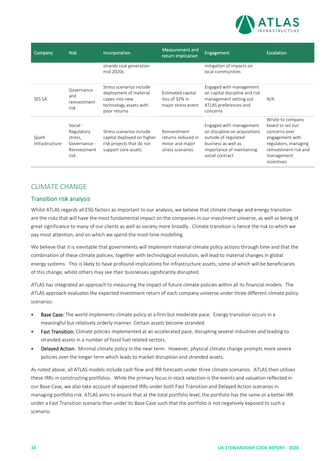

| Company                 | <b>Risk</b>                                                               | Incorporation                                                                                                  | Measurement and<br>return implication                                     | Engagement                                                                                                                                              | Escalation                                                                                                                                            |
|-------------------------|---------------------------------------------------------------------------|----------------------------------------------------------------------------------------------------------------|---------------------------------------------------------------------------|---------------------------------------------------------------------------------------------------------------------------------------------------------|-------------------------------------------------------------------------------------------------------------------------------------------------------|
|                         |                                                                           | strands coal generation<br>mid 2020s                                                                           |                                                                           | mitigation of impacts on<br>local communities                                                                                                           |                                                                                                                                                       |
| <b>SES SA</b>           | Governance<br>and<br>reinvestment<br>risk                                 | Stress scenarios include<br>deployment of material<br>capex into new<br>technology assets with<br>poor returns | Estimated capital<br>loss of 32% in<br>major stress event                 | Engaged with management<br>on capital discipline and risk<br>management setting out<br>ATLAS preferences and<br>concerns                                | N/A                                                                                                                                                   |
| Spark<br>Infrastructure | Social -<br>Regulatory<br>stress,<br>Governance -<br>Reinvestment<br>risk | Stress scenarios include<br>capital deployed on higher<br>risk projects that do not<br>support core assets     | Reinvestment<br>returns reduced in<br>minor and major<br>stress scenarios | Engaged with management<br>on discipline on acquisitions<br>outside of regulated<br>business as well as<br>importance of maintaining<br>social contract | Wrote to company<br>board to set out<br>concerns over<br>engagement with<br>regulators, managing<br>reinvestment risk and<br>management<br>incentives |

## CLIMATE CHANGE

#### Transition risk analysis

Whilst ATLAS regards all ESG factors as important to our analysis, we believe that climate change and energy transition are the risks that will have the most fundamental impact on the companies in our investment universe, as well as being of great significance to many of our clients as well as society more broadly. Climate transition is hence the risk to which we pay most attention, and on which we spend the most time modelling.

We believe that it is inevitable that governments will implement material climate policy actions through time and that the combination of these climate policies, together with technological evolution, will lead to material changes in global energy systems. This is likely to have profound implications for infrastructure assets, some of which will be beneficiaries of this change, whilst others may see their businesses significantly disrupted.

ATLAS has integrated an approach to measuring the impact of future climate policies within all its financial models. The ATLAS approach evaluates the expected investment return of each company universe under three different climate policy scenarios:

- Base Case: The world implements climate policy at a firm but moderate pace. Energy transition occurs in a meaningful but relatively orderly manner. Certain assets become stranded.
- Fast Transition: Climate policies implemented at an accelerated pace, disrupting several industries and leading to stranded assets in a number of fossil fuel related sectors.
- Delayed Action: Minimal climate policy in the near term. However, physical climate change prompts more severe policies over the longer term which leads to market disruption and stranded assets.

As noted above, all ATLAS models include cash flow and IRR forecasts under three climate scenarios. ATLAS then utilises these IRRs in constructing portfolios. While the primary focus in stock selection is the events and valuation reflected in our Base Case, we also take account of expected IRRs under both Fast Transition and Delayed Action scenarios in managing portfolio risk. ATLAS aims to ensure that at the total portfolio level, the portfolio has the same or a better IRR under a Fast Transition scenario than under its Base Case such that the portfolio is not negatively exposed to such a scenario.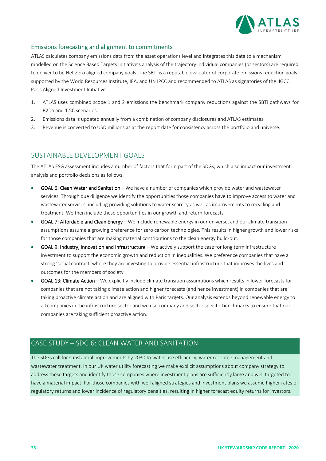

#### Emissions forecasting and alignment to commitments

ATLAS calculates company emissions data from the asset operations level and integrates this data to a mechanism modelled on the Science Based Targets Initiative's analysis of the trajectory individual companies (or sectors) are required to deliver to be Net Zero aligned company goals. The SBTi is a reputable evaluator of corporate emissions reduction goals supported by the World Resources Institute, IEA, and UN IPCC and recommended to ATLAS as signatories of the IIGCC Paris Aligned Investment Initiative.

- 1. ATLAS uses combined scope 1 and 2 emissions the benchmark company reductions against the SBTi pathways for B2DS and 1.5C scenarios.
- 2. Emissions data is updated annually from a combination of company disclosures and ATLAS estimates.
- 3. Revenue is converted to USD millions as at the report date for consistency across the portfolio and universe.

## SUSTAINABLE DEVELOPMENT GOALS

The ATLAS ESG assessment includes a number of factors that form part of the SDGs, which also impact our investment analysis and portfolio decisions as follows:

- GOAL 6: Clean Water and Sanitation We have a number of companies which provide water and wastewater services. Through due diligence we identify the opportunities those companies have to improve access to water and wastewater services, including providing solutions to water scarcity as well as improvements to recycling and treatment. We then include these opportunities in our growth and return forecasts
- GOAL 7: Affordable and Clean Energy We include renewable energy in our universe, and our climate transition assumptions assume a growing preference for zero carbon technologies. This results in higher growth and lower risks for those companies that are making material contributions to the clean energy build-out.
- GOAL 9: Industry, Innovation and Infrastructure We actively support the case for long term infrastructure investment to support the economic growth and reduction in inequalities. We preference companies that have a strong 'social contract' where they are investing to provide essential infrastructure that improves the lives and outcomes for the members of society
- GOAL 13: Climate Action We explicitly include climate transition assumptions which results in lower forecasts for companies that are not taking climate action and higher forecasts (and hence investment) in companies that are taking proactive climate action and are aligned with Paris targets. Our analysis extends beyond renewable energy to all companies in the infrastructure sector and we use company and sector specific benchmarks to ensure that our companies are taking sufficient proactive action.

## CASE STUDY – SDG 6: CLEAN WATER AND SANITATION

The SDGs call for substantial improvements by 2030 to water use efficiency, water resource management and wastewater treatment. In our UK water utility forecasting we make explicit assumptions about company strategy to address these targets and identify those companies where investment plans are sufficiently large and well targeted to have a material impact. For those companies with well aligned strategies and investment plans we assume higher rates of regulatory returns and lower incidence of regulatory penalties, resulting in higher forecast equity returns for investors.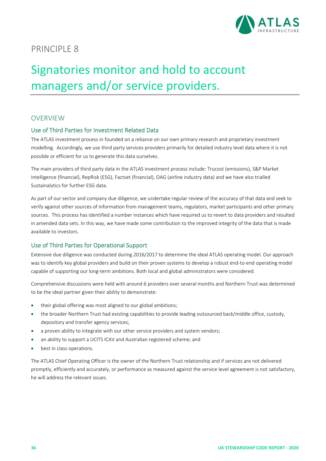

## Signatories monitor and hold to account managers and/or service providers.

#### **OVERVIEW**

#### Use of Third Parties for Investment Related Data

The ATLAS investment process in founded on a reliance on our own primary research and proprietary investment modelling. Accordingly, we use third party services providers primarily for detailed industry level data where it is not possible or efficient for us to generate this data ourselves.

The main providers of third party data in the ATLAS investment process include: Trucost (emissions), S&P Market Intelligence (financial), RepRisk (ESG), Factset (financial), OAG (airline industry data) and we have also trialled Sustainalytics for further ESG data.

As part of our sector and company due diligence, we undertake regular review of the accuracy of that data and seek to verify against other sources of information from management teams, regulators, market participants and other primary sources. This process has identified a number instances which have required us to revert to data providers and resulted in amended data sets. In this way, we have made some contribution to the improved integrity of the data that is made available to investors.

#### Use of Third Parties for Operational Support

Extensive due diligence was conducted during 2016/2017 to determine the ideal ATLAS operating model. Our approach was to identify key global providers and build on their proven systems to develop a robust end-to-end operating model capable of supporting our long‐term ambitions. Both local and global administrators were considered.

Comprehensive discussions were held with around 6 providers over several months and Northern Trust was determined to be the ideal partner given their ability to demonstrate:

- their global offering was most aligned to our global ambitions;
- the broader Northern Trust had existing capabilities to provide leading outsourced back/middle office, custody, depository and transfer agency services;
- a proven ability to integrate with our other service providers and system vendors;
- an ability to support a UCITS ICAV and Australian registered scheme; and
- best in class operations.

The ATLAS Chief Operating Officer is the owner of the Northern Trust relationship and if services are not delivered promptly, efficiently and accurately, or performance as measured against the service level agreement is not satisfactory, he will address the relevant issues.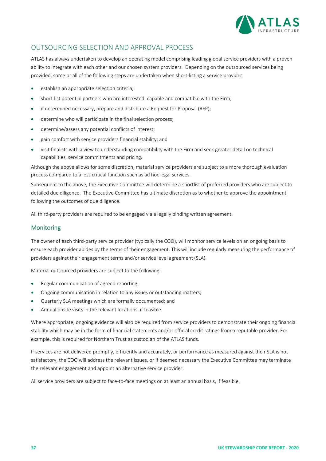

## OUTSOURCING SELECTION AND APPROVAL PROCESS

ATLAS has always undertaken to develop an operating model comprising leading global service providers with a proven ability to integrate with each other and our chosen system providers. Depending on the outsourced services being provided, some or all of the following steps are undertaken when short‐listing a service provider:

- establish an appropriate selection criteria;
- short-list potential partners who are interested, capable and compatible with the Firm;
- if determined necessary, prepare and distribute a Request for Proposal (RFP);
- determine who will participate in the final selection process;
- determine/assess any potential conflicts of interest;
- gain comfort with service providers financial stability; and
- visit finalists with a view to understanding compatibility with the Firm and seek greater detail on technical capabilities, service commitments and pricing.

Although the above allows for some discretion, material service providers are subject to a more thorough evaluation process compared to a less critical function such as ad hoc legal services.

Subsequent to the above, the Executive Committee will determine a shortlist of preferred providers who are subject to detailed due diligence. The Executive Committee has ultimate discretion as to whether to approve the appointment following the outcomes of due diligence.

All third‐party providers are required to be engaged via a legally binding written agreement.

#### Monitoring

The owner of each third‐party service provider (typically the COO), will monitor service levels on an ongoing basis to ensure each provider abides by the terms of their engagement. This will include regularly measuring the performance of providers against their engagement terms and/or service level agreement (SLA).

Material outsourced providers are subject to the following:

- Regular communication of agreed reporting;
- Ongoing communication in relation to any issues or outstanding matters;
- Quarterly SLA meetings which are formally documented; and
- Annual onsite visits in the relevant locations, if feasible.

Where appropriate, ongoing evidence will also be required from service providers to demonstrate their ongoing financial stability which may be in the form of financial statements and/or official credit ratings from a reputable provider. For example, this is required for Northern Trust as custodian of the ATLAS funds.

If services are not delivered promptly, efficiently and accurately, or performance as measured against their SLA is not satisfactory, the COO will address the relevant issues, or if deemed necessary the Executive Committee may terminate the relevant engagement and appoint an alternative service provider.

All service providers are subject to face-to-face meetings on at least an annual basis, if feasible.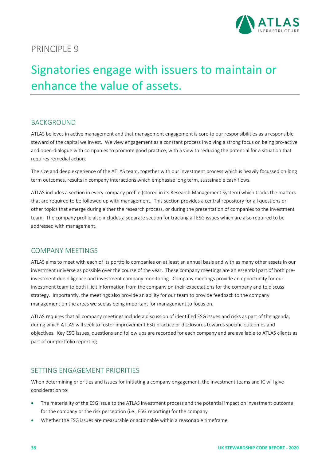

## Signatories engage with issuers to maintain or enhance the value of assets.

## BACKGROUND

ATLAS believes in active management and that management engagement is core to our responsibilities as a responsible steward of the capital we invest. We view engagement as a constant process involving a strong focus on being pro‐active and open-dialogue with companies to promote good practice, with a view to reducing the potential for a situation that requires remedial action.

The size and deep experience of the ATLAS team, together with our investment process which is heavily focussed on long term outcomes, results in company interactions which emphasise long term, sustainable cash flows.

ATLAS includes a section in every company profile (stored in its Research Management System) which tracks the matters that are required to be followed up with management. This section provides a central repository for all questions or other topics that emerge during either the research process, or during the presentation of companies to the investment team. The company profile also includes a separate section for tracking all ESG issues which are also required to be addressed with management.

#### COMPANY MEETINGS

ATLAS aims to meet with each of its portfolio companies on at least an annual basis and with as many other assets in our investment universe as possible over the course of the year. These company meetings are an essential part of both preinvestment due diligence and investment company monitoring. Company meetings provide an opportunity for our investment team to both illicit information from the company on their expectations for the company and to discuss strategy. Importantly, the meetings also provide an ability for our team to provide feedback to the company management on the areas we see as being important for management to focus on.

ATLAS requires that all company meetings include a discussion of identified ESG issues and risks as part of the agenda, during which ATLAS will seek to foster improvement ESG practice or disclosures towards specific outcomes and objectives. Key ESG issues, questions and follow ups are recorded for each company and are available to ATLAS clients as part of our portfolio reporting.

## SETTING ENGAGEMENT PRIORITIES

When determining priorities and issues for initiating a company engagement, the investment teams and IC will give consideration to:

- The materiality of the ESG issue to the ATLAS investment process and the potential impact on investment outcome for the company or the risk perception (i.e., ESG reporting) for the company
- Whether the ESG issues are measurable or actionable within a reasonable timeframe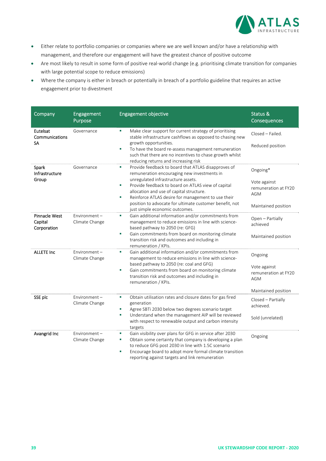

- Either relate to portfolio companies or companies where we are well known and/or have a relationship with management, and therefore our engagement will have the greatest chance of positive outcome
- Are most likely to result in some form of positive real‐world change (e.g. prioritising climate transition for companies with large potential scope to reduce emissions)
- Where the company is either in breach or potentially in breach of a portfolio guideline that requires an active engagement prior to divestment

| Company                                        | Engagement<br>Purpose             | <b>Engagement objective</b>                                                                                                                                                                                                                                                                                                                                                                                  | Status &<br>Consequences                                                              |
|------------------------------------------------|-----------------------------------|--------------------------------------------------------------------------------------------------------------------------------------------------------------------------------------------------------------------------------------------------------------------------------------------------------------------------------------------------------------------------------------------------------------|---------------------------------------------------------------------------------------|
| Eutelsat<br>Communications<br>SA               | Governance                        | ×,<br>Make clear support for current strategy of prioritising<br>stable infrastructure cashflows as opposed to chasing new<br>growth opportunities.<br>To have the board re-assess management remuneration<br>×<br>such that there are no incentives to chase growth whilst<br>reducing returns and increasing risk                                                                                          | Closed - Failed.<br>Reduced position                                                  |
| Spark<br>Infrastructure<br>Group               | Governance                        | Provide feedback to board that ATLAS disapproves of<br>×<br>remuneration encouraging new investments in<br>unregulated infrastructure assets.<br>Provide feedback to board on ATLAS view of capital<br>×<br>allocation and use of capital structure.<br>Reinforce ATLAS desire for management to use their<br>×<br>position to advocate for ultimate customer benefit, not<br>just simple economic outcomes. | Ongoing*<br>Vote against<br>remuneration at FY20<br><b>AGM</b><br>Maintained position |
| <b>Pinnacle West</b><br>Capital<br>Corporation | $Environment -$<br>Climate Change | Gain additional information and/or commitments from<br>×<br>management to reduce emissions in line with science-<br>based pathway to 2050 (re: GFG)<br>Gain commitments from board on monitoring climate<br>×<br>transition risk and outcomes and including in<br>remuneration / KPIs.                                                                                                                       | Open - Partially<br>achieved<br>Maintained position                                   |
| <b>ALLETE Inc</b>                              | $Environment -$<br>Climate Change | Gain additional information and/or commitments from<br>×<br>management to reduce emissions in line with science-<br>based pathway to 2050 (re: coal and GFG)<br>Gain commitments from board on monitoring climate<br>×<br>transition risk and outcomes and including in<br>remuneration / KPIs.                                                                                                              | Ongoing<br>Vote against<br>remuneration at FY20<br><b>AGM</b><br>Maintained position  |
| SSE plc                                        | Environment-<br>Climate Change    | Obtain utilisation rates and closure dates for gas fired<br>×<br>generation<br>Agree SBTi 2030 below two degrees scenario target<br>×<br>Understand when the management AIP will be reviewed<br>×<br>with respect to renewable output and carbon intensity<br>targets                                                                                                                                        | Closed - Partially<br>achieved.<br>Sold (unrelated)                                   |
| Avangrid Inc                                   | Environment-<br>Climate Change    | Gain visibility over plans for GFG in service after 2030<br>×<br>Obtain some certainty that company is developing a plan<br>×<br>to reduce GFG post 2030 in line with 1.5C scenario<br>Encourage board to adopt more formal climate transition<br>×<br>reporting against targets and link remuneration                                                                                                       | Ongoing                                                                               |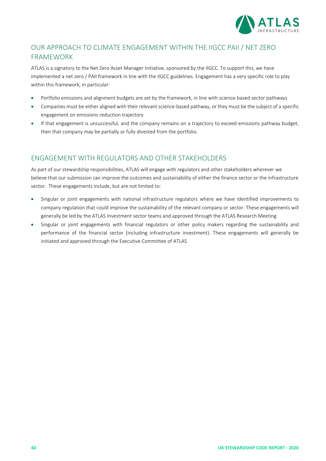

## OUR APPROACH TO CLIMATE ENGAGEMENT WITHIN THE IIGCC PAII / NET ZERO FRAMEWORK

ATLAS is a signatory to the Net Zero Asset Manager Initiative, sponsored by the IIGCC. To support this, we have implemented a net zero / PAII framework in line with the IIGCC guidelines. Engagement has a very specific role to play within this framework, in particular:

- Portfolio emissions and alignment budgets are set by the framework, in line with science‐based sector pathways
- Companies must be either aligned with their relevant science‐based pathway, or they must be the subject of a specific engagement on emissions reduction trajectory
- If that engagement is unsuccessful, and the company remains on a trajectory to exceed emissions pathway budget, then that company may be partially or fully divested from the portfolio.

## ENGAGEMENT WITH REGULATORS AND OTHER STAKEHOLDERS

As part of our stewardship responsibilities, ATLAS will engage with regulators and other stakeholders wherever we believe that our submission can improve the outcomes and sustainability of either the finance sector or the infrastructure sector. These engagements include, but are not limited to:

- Singular or joint engagements with national infrastructure regulators where we have identified improvements to company regulation that could improve the sustainability of the relevant company or sector. These engagements will generally be led by the ATLAS Investment sector teams and approved through the ATLAS Research Meeting
- Singular or joint engagements with financial regulators or other policy makers regarding the sustainability and performance of the financial sector (including infrastructure investment). These engagements will generally be initiated and approved through the Executive Committee of ATLAS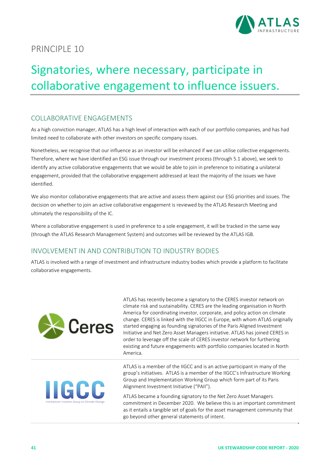

## Signatories, where necessary, participate in collaborative engagement to influence issuers.

## COLLABORATIVE ENGAGEMENTS

As a high conviction manager, ATLAS has a high level of interaction with each of our portfolio companies, and has had limited need to collaborate with other investors on specific company issues.

Nonetheless, we recognise that our influence as an investor will be enhanced if we can utilise collective engagements. Therefore, where we have identified an ESG issue through our investment process (through 5.1 above), we seek to identify any active collaborative engagements that we would be able to join in preference to initiating a unilateral engagement, provided that the collaborative engagement addressed at least the majority of the issues we have identified.

We also monitor collaborative engagements that are active and assess them against our ESG priorities and issues. The decision on whether to join an active collaborative engagement is reviewed by the ATLAS Research Meeting and ultimately the responsibility of the IC.

Where a collaborative engagement is used in preference to a sole engagement, it will be tracked in the same way (through the ATLAS Research Management System) and outcomes will be reviewed by the ATLAS IGB.

## INVOLVEMENT IN AND CONTRIBUTION TO INDUSTRY BODIES

ATLAS is involved with a range of investment and infrastructure industry bodies which provide a platform to facilitate collaborative engagements.

| <b>Ex</b> Ceres                                                 | ATLAS has recently become a signatory to the CERES investor network on<br>climate risk and sustainability. CERES are the leading organisation in North<br>America for coordinating investor, corporate, and policy action on climate<br>change. CERES is linked with the IIGCC in Europe, with whom ATLAS originally<br>started engaging as founding signatories of the Paris Aligned Investment<br>Initiative and Net Zero Asset Managers initiative. ATLAS has joined CERES in<br>order to leverage off the scale of CERES investor network for furthering<br>existing and future engagements with portfolio companies located in North<br>America. |
|-----------------------------------------------------------------|-------------------------------------------------------------------------------------------------------------------------------------------------------------------------------------------------------------------------------------------------------------------------------------------------------------------------------------------------------------------------------------------------------------------------------------------------------------------------------------------------------------------------------------------------------------------------------------------------------------------------------------------------------|
| <b>IIGCC</b><br>Institutional Investors Group on Climate Change | ATLAS is a member of the IIGCC and is an active participant in many of the<br>group's initiatives. ATLAS is a member of the IIGCC's Infrastructure Working<br>Group and Implementation Working Group which form part of its Paris<br>Alignment Investment Initiative ("PAII").                                                                                                                                                                                                                                                                                                                                                                        |
|                                                                 | ATLAS became a founding signatory to the Net Zero Asset Managers<br>commitment in December 2020. We believe this is an important commitment<br>as it entails a tangible set of goals for the asset management community that<br>go beyond other general statements of intent.                                                                                                                                                                                                                                                                                                                                                                         |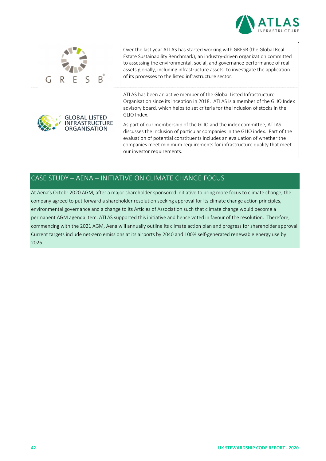



## CASE STUDY – AENA – INITIATIVE ON CLIMATE CHANGE FOCUS

At Aena's Octobr 2020 AGM, after a major shareholder sponsored initiative to bring more focus to climate change, the company agreed to put forward a shareholder resolution seeking approval for its climate change action principles, environmental governance and a change to its Articles of Association such that climate change would become a permanent AGM agenda item. ATLAS supported this initiative and hence voted in favour of the resolution. Therefore, commencing with the 2021 AGM, Aena will annually outline its climate action plan and progress for shareholder approval. Current targets include net‐zero emissions at its airports by 2040 and 100% self‐generated renewable energy use by 2026.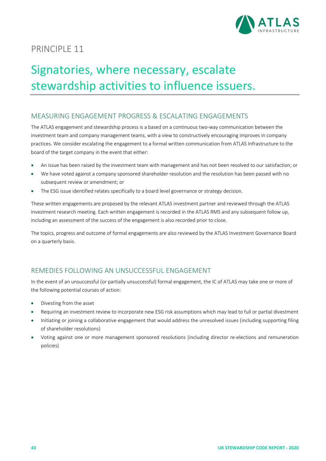

## Signatories, where necessary, escalate stewardship activities to influence issuers.

## MEASURING ENGAGEMENT PROGRESS & ESCALATING ENGAGEMENTS

The ATLAS engagement and stewardship process is a based on a continuous two-way communication between the investment team and company management teams, with a view to constructively encouraging improves in company practices. We consider escalating the engagement to a formal written communication from ATLAS Infrastructure to the board of the target company in the event that either:

- An issue has been raised by the investment team with management and has not been resolved to our satisfaction; or
- We have voted against a company sponsored shareholder resolution and the resolution has been passed with no subsequent review or amendment; or
- The ESG issue identified relates specifically to a board level governance or strategy decision.

These written engagements are proposed by the relevant ATLAS investment partner and reviewed through the ATLAS investment research meeting. Each written engagement is recorded in the ATLAS RMS and any subsequent follow up, including an assessment of the success of the engagement is also recorded prior to close.

The topics, progress and outcome of formal engagements are also reviewed by the ATLAS Investment Governance Board on a quarterly basis.

## REMEDIES FOLLOWING AN UNSUCCESSFUL ENGAGEMENT

In the event of an unsuccessful (or partially unsuccessful) formal engagement, the IC of ATLAS may take one or more of the following potential courses of action:

- Divesting from the asset
- Requiring an investment review to incorporate new ESG risk assumptions which may lead to full or partial divestment
- Initiating or joining a collaborative engagement that would address the unresolved issues (including supporting filing of shareholder resolutions)
- Voting against one or more management sponsored resolutions (including director re‐elections and remuneration policies)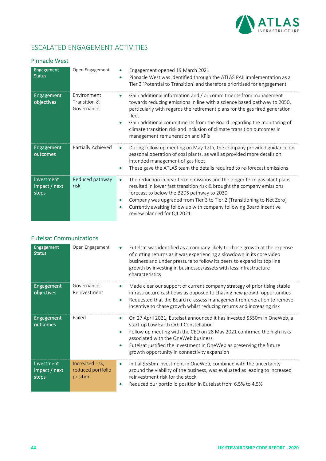

## ESCALATED ENGAGEMENT ACTIVITIES

#### Pinnacle West

| <b>Engagement</b><br><b>Status</b>   | Open Engagement                           | Engagement opened 19 March 2021<br>$\bullet$<br>Pinnacle West was identified through the ATLAS PAII implementation as a<br>Tier 3 'Potential to Transition' and therefore prioritised for engagement                                                                                                                                                                                                                                       |
|--------------------------------------|-------------------------------------------|--------------------------------------------------------------------------------------------------------------------------------------------------------------------------------------------------------------------------------------------------------------------------------------------------------------------------------------------------------------------------------------------------------------------------------------------|
| <b>Engagement</b><br>objectives      | Environment<br>Transition &<br>Governance | Gain additional information and / or commitments from management<br>$\bullet$<br>towards reducing emissions in line with a science based pathway to 2050,<br>particularly with regards the retirement plans for the gas fired generation<br>fleet<br>Gain additional commitments from the Board regarding the monitoring of<br>climate transition risk and inclusion of climate transition outcomes in<br>management remuneration and KPIs |
| <b>Engagement</b><br>outcomes        | Partially Achieved                        | During follow up meeting on May 12th, the company provided guidance on<br>$\bullet$<br>seasonal operation of coal plants, as well as provided more details on<br>intended management of gas fleet<br>These gave the ATLAS team the details required to re-forecast emissions                                                                                                                                                               |
| Investment<br>Impact / next<br>steps | Reduced pathway<br>risk                   | The reduction in near term emissions and the longer term gas plant plans<br>$\bullet$<br>resulted in lower fast transition risk & brought the company emissions<br>forecast to below the B2DS pathway to 2030<br>Company was upgraded from Tier 3 to Tier 2 (Transitioning to Net Zero)<br>Currently awaiting follow up with company following Board incentive<br>review planned for Q4 2021                                               |

#### Eutelsat Communications

| Engagement<br><b>Status</b>          | Open Engagement                                  | Eutelsat was identified as a company likely to chase growth at the expense<br>of cutting returns as it was experiencing a slowdown in its core video<br>business and under pressure to follow its peers to expand its top line<br>growth by investing in businesses/assets with less infrastructure<br>characteristics                                                                |
|--------------------------------------|--------------------------------------------------|---------------------------------------------------------------------------------------------------------------------------------------------------------------------------------------------------------------------------------------------------------------------------------------------------------------------------------------------------------------------------------------|
| <b>Engagement</b><br>objectives      | Governance -<br>Reinvestment                     | Made clear our support of current company strategy of prioritising stable<br>infrastructure cashflows as opposed to chasing new growth opportunities<br>Requested that the Board re-assess management remuneration to remove<br>$\bullet$<br>incentive to chase growth whilst reducing returns and increasing risk                                                                    |
| Engagement<br>outcomes               | Failed                                           | On 27 April 2021, Eutelsat announced it has invested \$550m in OneWeb, a<br>$\bullet$<br>start-up Low Earth Orbit Constellation<br>Follow up meeting with the CEO on 28 May 2021 confirmed the high risks<br>$\bullet$<br>associated with the OneWeb business<br>Eutelsat justified the investment in OneWeb as preserving the future<br>growth opportunity in connectivity expansion |
| Investment<br>Impact / next<br>steps | Increased risk,<br>reduced portfolio<br>position | Initial \$550m investment in OneWeb, combined with the uncertainty<br>$\bullet$<br>around the viability of the business, was evaluated as leading to increased<br>reinvestment risk for the stock.<br>Reduced our portfolio position in Eutelsat from 6.5% to 4.5%<br>$\bullet$                                                                                                       |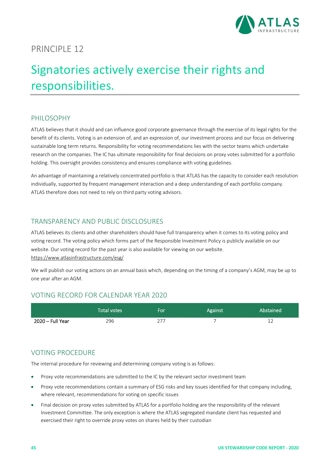

## Signatories actively exercise their rights and responsibilities.

### PHILOSOPHY

ATLAS believes that it should and can influence good corporate governance through the exercise of its legal rights for the benefit of its clients. Voting is an extension of, and an expression of, our investment process and our focus on delivering sustainable long term returns. Responsibility for voting recommendations lies with the sector teams which undertake research on the companies. The IC has ultimate responsibility for final decisions on proxy votes submitted for a portfolio holding. This oversight provides consistency and ensures compliance with voting guidelines.

An advantage of maintaining a relatively concentrated portfolio is that ATLAS has the capacity to consider each resolution individually, supported by frequent management interaction and a deep understanding of each portfolio company. ATLAS therefore does not need to rely on third party voting advisors.

#### TRANSPARENCY AND PUBLIC DISCLOSURES

ATLAS believes its clients and other shareholders should have full transparency when it comes to its voting policy and voting record. The voting policy which forms part of the Responsible Investment Policy is publicly available on our website. Our voting record for the past year is also available for viewing on our website. https://www.atlasinfrastructure.com/esg/

We will publish our voting actions on an annual basis which, depending on the timing of a company's AGM, may be up to one year after an AGM.

#### VOTING RECORD FOR CALENDAR YEAR 2020

|                  | Total votes | For | Against | Abstained |
|------------------|-------------|-----|---------|-----------|
| 2020 – Full Year | 296         | つフラ |         |           |

## VOTING PROCEDURE

The internal procedure for reviewing and determining company voting is as follows:

- Proxy vote recommendations are submitted to the IC by the relevant sector investment team
- Proxy vote recommendations contain a summary of ESG risks and key issues identified for that company including, where relevant, recommendations for voting on specific issues
- Final decision on proxy votes submitted by ATLAS for a portfolio holding are the responsibility of the relevant Investment Committee. The only exception is where the ATLAS segregated mandate client has requested and exercised their right to override proxy votes on shares held by their custodian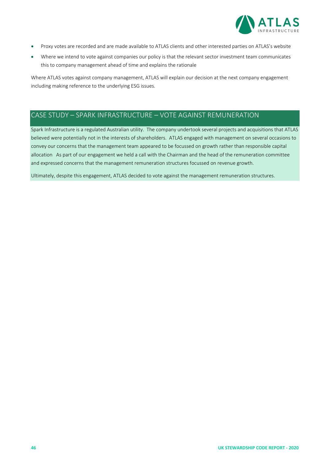

- Proxy votes are recorded and are made available to ATLAS clients and other interested parties on ATLAS's website
- Where we intend to vote against companies our policy is that the relevant sector investment team communicates this to company management ahead of time and explains the rationale

Where ATLAS votes against company management, ATLAS will explain our decision at the next company engagement including making reference to the underlying ESG issues.

## CASE STUDY – SPARK INFRASTRUCTURE – VOTE AGAINST REMUNERATION

Spark Infrastructure is a regulated Australian utility. The company undertook several projects and acquisitions that ATLAS believed were potentially not in the interests of shareholders. ATLAS engaged with management on several occasions to convey our concerns that the management team appeared to be focussed on growth rather than responsible capital allocation As part of our engagement we held a call with the Chairman and the head of the remuneration committee and expressed concerns that the management remuneration structures focussed on revenue growth.

Ultimately, despite this engagement, ATLAS decided to vote against the management remuneration structures.